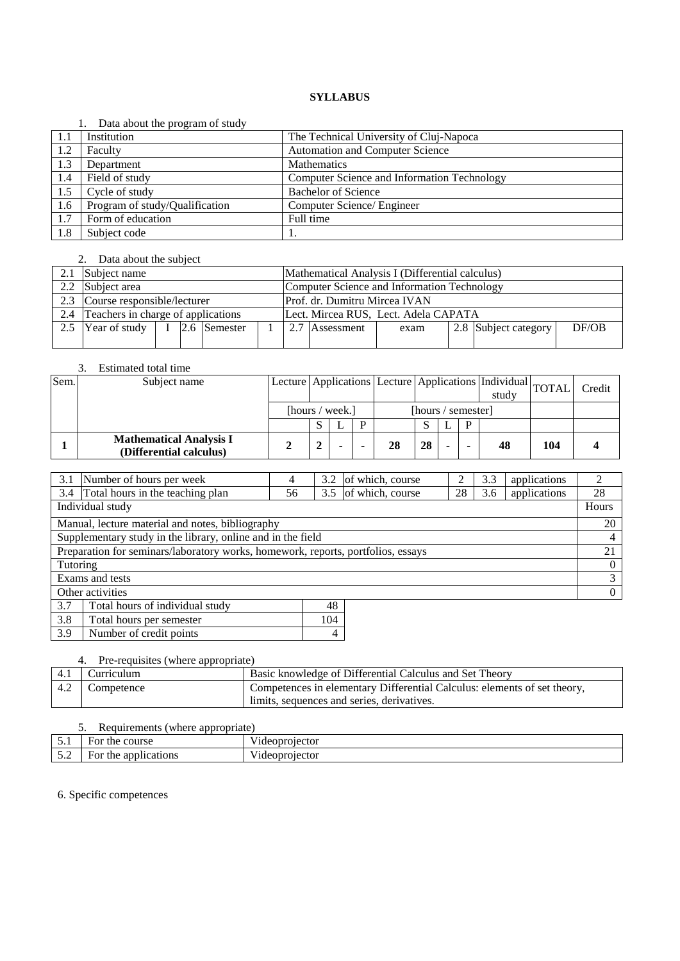|     | Data about the program of study |                                             |
|-----|---------------------------------|---------------------------------------------|
| 1.1 | Institution                     | The Technical University of Cluj-Napoca     |
| 1.2 | Faculty                         | Automation and Computer Science             |
| 1.3 | Department                      | <b>Mathematics</b>                          |
| 1.4 | Field of study                  | Computer Science and Information Technology |
| 1.5 | Cycle of study                  | <b>Bachelor of Science</b>                  |
| 1.6 | Program of study/Qualification  | Computer Science/ Engineer                  |
| 1.7 | Form of education               | Full time                                   |
| 1.8 | Subject code                    |                                             |

#### 2. Data about the subject

| 2.1 Subject name                                 |  |  |  |  | Mathematical Analysis I (Differential calculus) |                                      |      |  |                      |       |  |
|--------------------------------------------------|--|--|--|--|-------------------------------------------------|--------------------------------------|------|--|----------------------|-------|--|
| 2.2 Subject area                                 |  |  |  |  | Computer Science and Information Technology     |                                      |      |  |                      |       |  |
| 2.3 Course responsible/lecturer                  |  |  |  |  |                                                 | Prof. dr. Dumitru Mircea IVAN        |      |  |                      |       |  |
| 2.4 Teachers in charge of applications           |  |  |  |  |                                                 | Lect. Mircea RUS, Lect. Adela CAPATA |      |  |                      |       |  |
| 2.5 Year of study $\vert$ I $\vert$ 2.6 Semester |  |  |  |  |                                                 | 2.7 Assessment                       | exam |  | 2.8 Subject category | DF/OB |  |
|                                                  |  |  |  |  |                                                 |                                      |      |  |                      |       |  |

#### 3. Estimated total time

| Sem. | Subject name                                              |                 |  |                    |    |    |  |   | Lecture Applications Lecture Applications  Individual TOTAL<br>study |     | Credit |
|------|-----------------------------------------------------------|-----------------|--|--------------------|----|----|--|---|----------------------------------------------------------------------|-----|--------|
|      |                                                           | [hours / week.] |  | [hours / semester] |    |    |  |   |                                                                      |     |        |
|      |                                                           |                 |  |                    |    |    |  | Ð |                                                                      |     |        |
|      | <b>Mathematical Analysis I</b><br>(Differential calculus) |                 |  |                    | 28 | 28 |  |   | 48                                                                   | 104 |        |

| 3.1                                                         | Number of hours per week                                                         | 4  | 3.2                  | of which, course |    | 3.3 | applications | 2        |
|-------------------------------------------------------------|----------------------------------------------------------------------------------|----|----------------------|------------------|----|-----|--------------|----------|
| 3.4                                                         | Total hours in the teaching plan                                                 | 56 | 3.5                  | of which, course | 28 | 3.6 | applications | 28       |
| Individual study                                            |                                                                                  |    |                      |                  |    |     |              | Hours    |
|                                                             | Manual, lecture material and notes, bibliography                                 |    |                      |                  |    |     |              | 20       |
| Supplementary study in the library, online and in the field |                                                                                  |    |                      |                  |    |     |              | 4        |
|                                                             | Preparation for seminars/laboratory works, homework, reports, portfolios, essays |    |                      |                  |    |     |              | 21       |
| Tutoring                                                    |                                                                                  |    |                      |                  |    |     |              | $\Omega$ |
| Exams and tests                                             |                                                                                  |    |                      |                  |    |     | 3            |          |
| Other activities                                            |                                                                                  |    |                      |                  |    |     |              | $\Omega$ |
| 3.7                                                         | Total hours of individual study                                                  |    | 48                   |                  |    |     |              |          |
| $\sim$ $\sim$                                               | -- - -                                                                           |    | $\sim$ $\sim$ $\sim$ |                  |    |     |              |          |

| Total hours per semester |  |
|--------------------------|--|
| Number of credit points  |  |

# 4. Pre-requisites (where appropriate)

| 4.1 | Curriculum | Basic knowledge of Differential Calculus and Set Theory                  |
|-----|------------|--------------------------------------------------------------------------|
| 4.2 | Competence | Competences in elementary Differential Calculus: elements of set theory, |
|     |            | limits, sequences and series, derivatives.                               |

| J.       | appropriate)            |                           |
|----------|-------------------------|---------------------------|
| ◡ ・      | course<br>or the        | $- - -$<br>/ideoprojector |
| $\sim\,$ | applications<br>For the | $- - -$<br>/ideoprojector |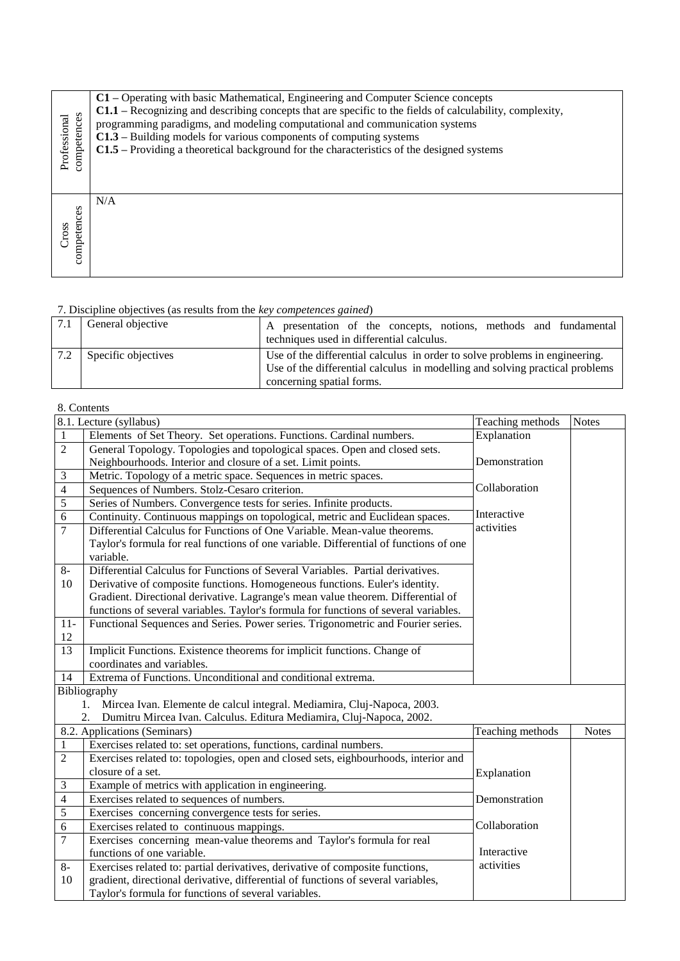| competences<br>Professional | C1 – Operating with basic Mathematical, Engineering and Computer Science concepts<br>C1.1 – Recognizing and describing concepts that are specific to the fields of calculability, complexity,<br>programming paradigms, and modeling computational and communication systems<br>$C1.3$ – Building models for various components of computing systems<br>C1.5 - Providing a theoretical background for the characteristics of the designed systems |
|-----------------------------|---------------------------------------------------------------------------------------------------------------------------------------------------------------------------------------------------------------------------------------------------------------------------------------------------------------------------------------------------------------------------------------------------------------------------------------------------|
| competences<br>Cross        | N/A                                                                                                                                                                                                                                                                                                                                                                                                                                               |

| General objective   | presentation of the concepts, notions, methods and fundamental<br>A<br>techniques used in differential calculus.                                                                         |
|---------------------|------------------------------------------------------------------------------------------------------------------------------------------------------------------------------------------|
| Specific objectives | Use of the differential calculus in order to solve problems in engineering.<br>Use of the differential calculus in modelling and solving practical problems<br>concerning spatial forms. |

# 8. Contents

|                | $\overline{8.1}$ . Lecture (syllabus)                                                 | Teaching methods | <b>Notes</b> |
|----------------|---------------------------------------------------------------------------------------|------------------|--------------|
| $\mathbf{1}$   | Elements of Set Theory. Set operations. Functions. Cardinal numbers.                  | Explanation      |              |
| $\overline{2}$ | General Topology. Topologies and topological spaces. Open and closed sets.            |                  |              |
|                | Neighbourhoods. Interior and closure of a set. Limit points.                          | Demonstration    |              |
| $\mathfrak{Z}$ | Metric. Topology of a metric space. Sequences in metric spaces.                       |                  |              |
| $\overline{4}$ | Sequences of Numbers. Stolz-Cesaro criterion.                                         | Collaboration    |              |
| 5              | Series of Numbers. Convergence tests for series. Infinite products.                   |                  |              |
| 6              | Continuity. Continuous mappings on topological, metric and Euclidean spaces.          | Interactive      |              |
| $\tau$         | Differential Calculus for Functions of One Variable. Mean-value theorems.             | activities       |              |
|                | Taylor's formula for real functions of one variable. Differential of functions of one |                  |              |
|                | variable.                                                                             |                  |              |
| $8-$           | Differential Calculus for Functions of Several Variables. Partial derivatives.        |                  |              |
| 10             | Derivative of composite functions. Homogeneous functions. Euler's identity.           |                  |              |
|                | Gradient. Directional derivative. Lagrange's mean value theorem. Differential of      |                  |              |
|                | functions of several variables. Taylor's formula for functions of several variables.  |                  |              |
| $11-$          | Functional Sequences and Series. Power series. Trigonometric and Fourier series.      |                  |              |
| 12             |                                                                                       |                  |              |
| 13             | Implicit Functions. Existence theorems for implicit functions. Change of              |                  |              |
|                | coordinates and variables.                                                            |                  |              |
| 14             | Extrema of Functions. Unconditional and conditional extrema.                          |                  |              |
|                | Bibliography                                                                          |                  |              |
|                | Mircea Ivan. Elemente de calcul integral. Mediamira, Cluj-Napoca, 2003.<br>1.         |                  |              |
|                | Dumitru Mircea Ivan. Calculus. Editura Mediamira, Cluj-Napoca, 2002.<br>2.            |                  |              |
|                | 8.2. Applications (Seminars)                                                          | Teaching methods | <b>Notes</b> |
| $\mathbf{1}$   | Exercises related to: set operations, functions, cardinal numbers.                    |                  |              |
| $\overline{2}$ | Exercises related to: topologies, open and closed sets, eighbourhoods, interior and   |                  |              |
|                | closure of a set.                                                                     | Explanation      |              |
| 3              | Example of metrics with application in engineering.                                   |                  |              |
| $\overline{4}$ | Exercises related to sequences of numbers.                                            | Demonstration    |              |
| $\overline{5}$ | Exercises concerning convergence tests for series.                                    |                  |              |
| 6              | Exercises related to continuous mappings.                                             | Collaboration    |              |
| 7              | Exercises concerning mean-value theorems and Taylor's formula for real                |                  |              |
|                | functions of one variable.                                                            | Interactive      |              |
| $8-$           | Exercises related to: partial derivatives, derivative of composite functions,         | activities       |              |
| 10             | gradient, directional derivative, differential of functions of several variables,     |                  |              |
|                | Taylor's formula for functions of several variables.                                  |                  |              |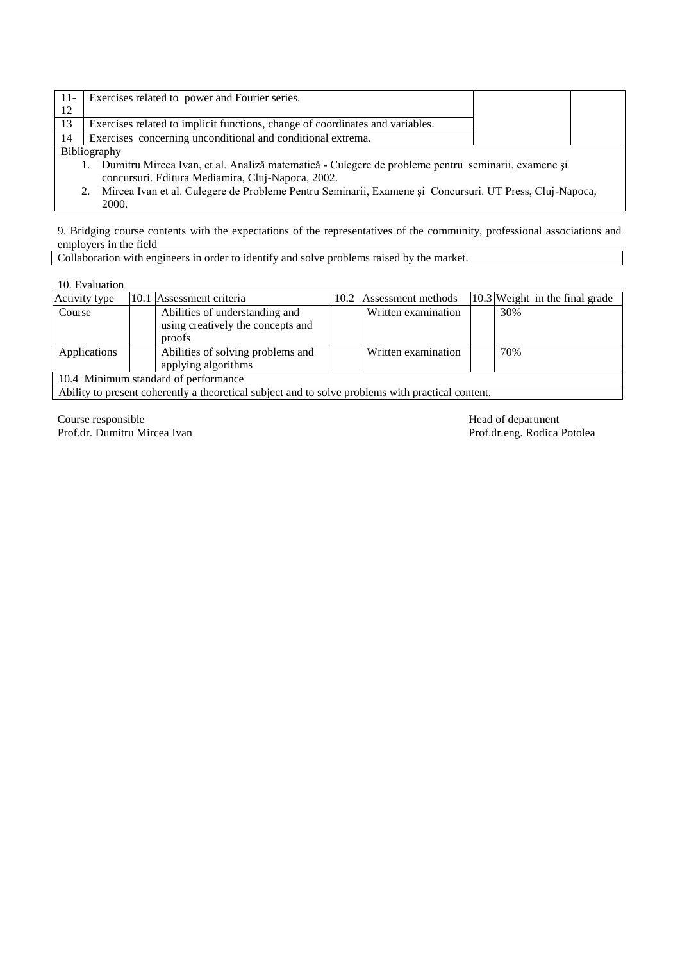| $-11-$ | Exercises related to power and Fourier series.                                                     |  |
|--------|----------------------------------------------------------------------------------------------------|--|
| 12     |                                                                                                    |  |
| 13     | Exercises related to implicit functions, change of coordinates and variables.                      |  |
| 14     | Exercises concerning unconditional and conditional extrema.                                        |  |
|        | <b>Bibliography</b>                                                                                |  |
|        | Dumitru Mircea Ivan, et al. Analiză matematică - Culegere de probleme pentru seminarii, examene și |  |
|        | concursuri. Editura Mediamira, Cluj-Napoca, 2002.                                                  |  |

2. Mircea Ivan et al. Culegere de Probleme Pentru Seminarii, Examene şi Concursuri. UT Press, Cluj-Napoca, 2000.

9. Bridging course contents with the expectations of the representatives of the community, professional associations and employers in the field

Collaboration with engineers in order to identify and solve problems raised by the market.

10. Evaluation

| Activity type                        |                                | 10.1 Assessment criteria          | 10.2 | Assessment methods  |  | 10.3 Weight in the final grade |  |  |
|--------------------------------------|--------------------------------|-----------------------------------|------|---------------------|--|--------------------------------|--|--|
| Course                               | Abilities of understanding and |                                   |      | Written examination |  | 30%                            |  |  |
|                                      |                                | using creatively the concepts and |      |                     |  |                                |  |  |
|                                      |                                | proofs                            |      |                     |  |                                |  |  |
| Applications                         |                                | Abilities of solving problems and |      | Written examination |  | 70%                            |  |  |
|                                      |                                | applying algorithms               |      |                     |  |                                |  |  |
| 10.4 Minimum standard of performance |                                |                                   |      |                     |  |                                |  |  |
| .<br>$\sim$<br>$\sim$                |                                |                                   |      |                     |  |                                |  |  |

Ability to present coherently a theoretical subject and to solve problems with practical content.

Course responsible<br>
Prof.dr. Dumitru Mircea Ivan<br>
Prof.dr. Dumitru Mircea Ivan

Prof.dr.eng. Rodica Potolea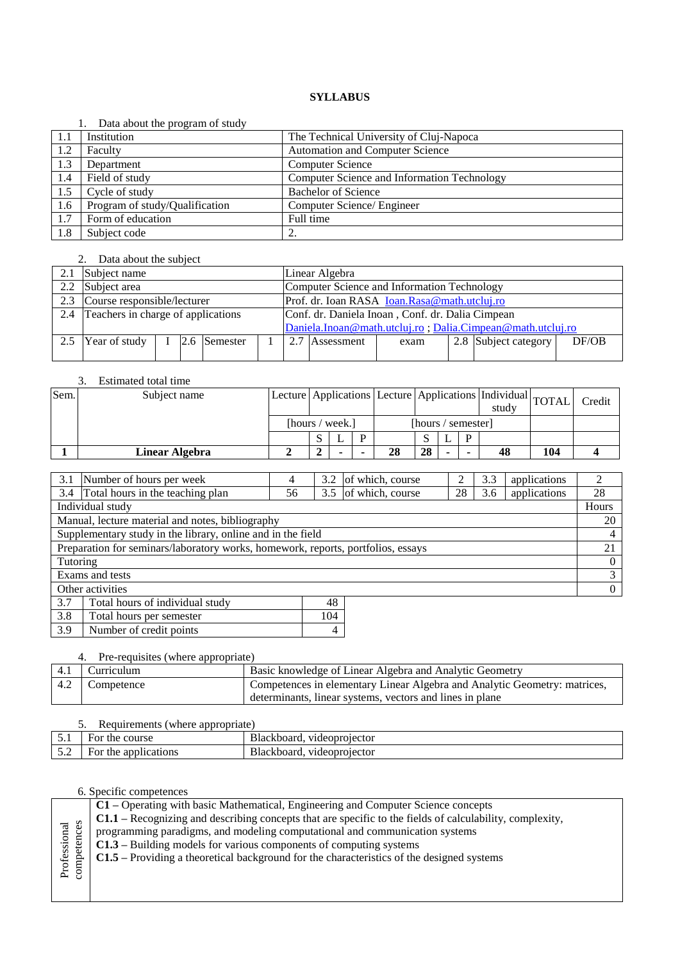|      | Data about the program of study |                                             |
|------|---------------------------------|---------------------------------------------|
| -1.1 | Institution                     | The Technical University of Cluj-Napoca     |
| 1.2  | Faculty                         | <b>Automation and Computer Science</b>      |
| 1.3  | Department                      | <b>Computer Science</b>                     |
| 1.4  | Field of study                  | Computer Science and Information Technology |
| 1.5  | Cycle of study                  | <b>Bachelor of Science</b>                  |
| 1.6  | Program of study/Qualification  | Computer Science/ Engineer                  |
| 1.7  | Form of education               | Full time                                   |
| 1.8  | Subject code                    |                                             |

#### 2. Data about the subject

| 2.1 | Subject name                       |  |  |              |  |     | Linear Algebra                                             |      |  |                      |       |  |  |
|-----|------------------------------------|--|--|--------------|--|-----|------------------------------------------------------------|------|--|----------------------|-------|--|--|
|     | 2.2 Subject area                   |  |  |              |  |     | Computer Science and Information Technology                |      |  |                      |       |  |  |
|     | 2.3 Course responsible/lecturer    |  |  |              |  |     | Prof. dr. Ioan RASA Ioan.Rasa@math.utcluj.ro               |      |  |                      |       |  |  |
| 2.4 | Teachers in charge of applications |  |  |              |  |     | Conf. dr. Daniela Inoan, Conf. dr. Dalia Cimpean           |      |  |                      |       |  |  |
|     |                                    |  |  |              |  |     | Daniela.Inoan@math.utcluj.ro; Dalia.Cimpean@math.utcluj.ro |      |  |                      |       |  |  |
| 2.5 | Year of study                      |  |  | 2.6 Semester |  | 2.7 | Assessment                                                 | exam |  | 2.8 Subject category | DF/OB |  |  |
|     |                                    |  |  |              |  |     |                                                            |      |  |                      |       |  |  |

# 3. Estimated total time

| Sem. | Subject name          |                 | Lecture Applications Lecture Applications Individual TOTAL |  |    |                    |   | study |    | Credit |  |
|------|-----------------------|-----------------|------------------------------------------------------------|--|----|--------------------|---|-------|----|--------|--|
|      |                       | [hours / week.] |                                                            |  |    | [hours / semester] |   |       |    |        |  |
|      |                       |                 |                                                            |  |    |                    | ∸ | D     |    |        |  |
|      | <b>Linear Algebra</b> |                 |                                                            |  | 28 | 28                 | - |       | 48 | 104    |  |

| 3.1                                                                              | Number of hours per week                         | 4  | 3.2 | of which, course |    | 3.3 | applications | $\mathfrak{D}$ |
|----------------------------------------------------------------------------------|--------------------------------------------------|----|-----|------------------|----|-----|--------------|----------------|
| 3.4                                                                              | Total hours in the teaching plan                 | 56 | 3.5 | of which, course | 28 | 3.6 | applications | 28             |
|                                                                                  | Individual study                                 |    |     |                  |    |     |              | Hours          |
|                                                                                  | Manual, lecture material and notes, bibliography |    |     |                  |    |     |              | 20             |
| Supplementary study in the library, online and in the field                      |                                                  |    |     |                  |    |     |              | 4              |
| Preparation for seminars/laboratory works, homework, reports, portfolios, essays |                                                  |    |     |                  |    |     |              |                |
| Tutoring                                                                         |                                                  |    |     |                  |    |     |              | $\Omega$       |
|                                                                                  | Exams and tests                                  |    |     |                  |    |     |              | 3              |
| Other activities                                                                 |                                                  |    |     |                  |    |     |              | $\overline{0}$ |
| 3.7                                                                              | Total hours of individual study                  |    | 48  |                  |    |     |              |                |
| 3.8                                                                              | Total hours per semester                         |    | 104 |                  |    |     |              |                |

# 3.9 Number of credit points 4

#### 4. Pre-requisites (where appropriate) 4.1 Curriculum Basic knowledge of Linear Algebra and Analytic Geometry<br>4.2 Competence Competences in elementary Linear Algebra and Analytic Geometry Competence Competences in elementary Linear Algebra and Analytic Geometry: matrices, determinants, linear systems, vectors and lines in plane

#### 5. Requirements (where appropriate)

| . .                          | ------------------             |                               |
|------------------------------|--------------------------------|-------------------------------|
| $-1$<br>◡.                   | course<br>the<br>٥r            | videoprojector<br>Blackboard. |
| $\epsilon$ $\gamma$<br>ىر، ب | 1cat10ns<br>the<br>app'<br>١O٢ | videoprojector<br>Blackboard. |
|                              |                                |                               |

#### 6. Specific competences

L

|                             | C1 – Operating with basic Mathematical, Engineering and Computer Science concepts                        |  |  |  |  |  |  |  |  |
|-----------------------------|----------------------------------------------------------------------------------------------------------|--|--|--|--|--|--|--|--|
|                             | C1.1 – Recognizing and describing concepts that are specific to the fields of calculability, complexity, |  |  |  |  |  |  |  |  |
| Professional<br>competences | programming paradigms, and modeling computational and communication systems                              |  |  |  |  |  |  |  |  |
|                             | $C1.3$ – Building models for various components of computing systems                                     |  |  |  |  |  |  |  |  |
|                             | C1.5 – Providing a theoretical background for the characteristics of the designed systems                |  |  |  |  |  |  |  |  |
|                             |                                                                                                          |  |  |  |  |  |  |  |  |
|                             |                                                                                                          |  |  |  |  |  |  |  |  |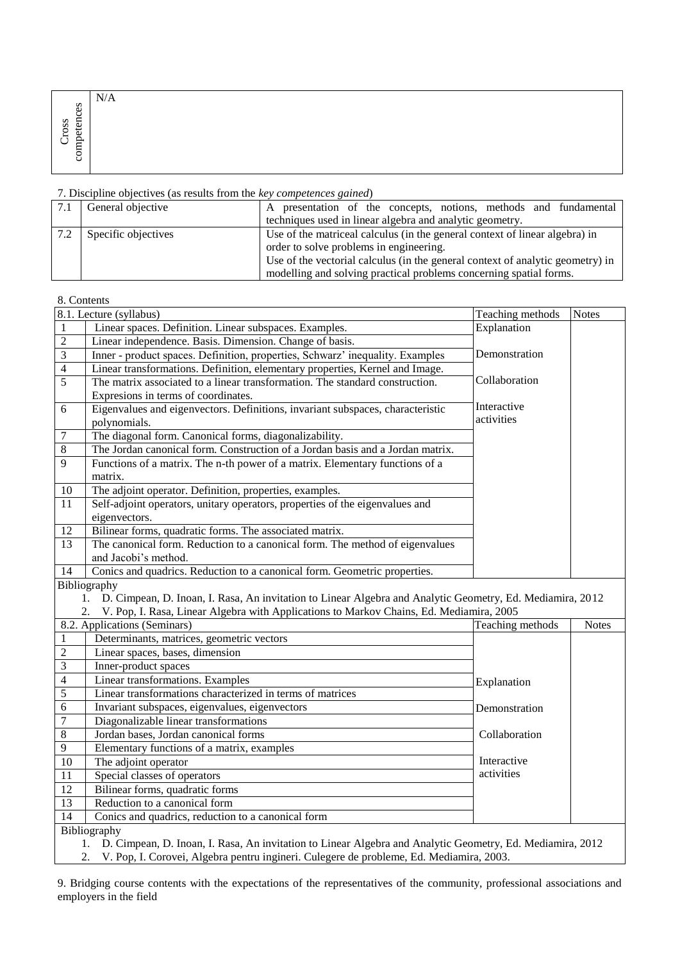| 89                 | N/A |
|--------------------|-----|
| SS<br>₩<br>α.<br>┍ |     |
| -<br>∽<br>◡<br>Ċ   |     |

|     | General objective   | presentation of the concepts, notions, methods and fundamental<br>A            |
|-----|---------------------|--------------------------------------------------------------------------------|
|     |                     | techniques used in linear algebra and analytic geometry.                       |
| 7.2 | Specific objectives | Use of the matriceal calculus (in the general context of linear algebra) in    |
|     |                     | order to solve problems in engineering.                                        |
|     |                     | Use of the vectorial calculus (in the general context of analytic geometry) in |
|     |                     | modelling and solving practical problems concerning spatial forms.             |

8. Contents

|                          | 8.1. Lecture (syllabus)                                                                                         | Teaching methods | <b>Notes</b> |
|--------------------------|-----------------------------------------------------------------------------------------------------------------|------------------|--------------|
| $\mathbf{1}$             | Linear spaces. Definition. Linear subspaces. Examples.                                                          | Explanation      |              |
| $\overline{2}$           | Linear independence. Basis. Dimension. Change of basis.                                                         |                  |              |
| $\overline{3}$           | Inner - product spaces. Definition, properties, Schwarz' inequality. Examples                                   | Demonstration    |              |
| $\overline{\mathcal{L}}$ | Linear transformations. Definition, elementary properties, Kernel and Image.                                    |                  |              |
| 5                        | The matrix associated to a linear transformation. The standard construction.                                    | Collaboration    |              |
|                          | Expresions in terms of coordinates.                                                                             |                  |              |
| 6                        | Eigenvalues and eigenvectors. Definitions, invariant subspaces, characteristic                                  | Interactive      |              |
|                          | polynomials.                                                                                                    | activities       |              |
| 7                        | The diagonal form. Canonical forms, diagonalizability.                                                          |                  |              |
| $\,$ 8 $\,$              | The Jordan canonical form. Construction of a Jordan basis and a Jordan matrix.                                  |                  |              |
| 9                        | Functions of a matrix. The n-th power of a matrix. Elementary functions of a                                    |                  |              |
|                          | matrix.                                                                                                         |                  |              |
| 10                       | The adjoint operator. Definition, properties, examples.                                                         |                  |              |
| 11                       | Self-adjoint operators, unitary operators, properties of the eigenvalues and                                    |                  |              |
|                          | eigenvectors.                                                                                                   |                  |              |
| 12                       | Bilinear forms, quadratic forms. The associated matrix.                                                         |                  |              |
| 13                       | The canonical form. Reduction to a canonical form. The method of eigenvalues                                    |                  |              |
|                          | and Jacobi's method.                                                                                            |                  |              |
| 14                       | Conics and quadrics. Reduction to a canonical form. Geometric properties.                                       |                  |              |
|                          | Bibliography                                                                                                    |                  |              |
|                          | D. Cimpean, D. Inoan, I. Rasa, An invitation to Linear Algebra and Analytic Geometry, Ed. Mediamira, 2012<br>1. |                  |              |
|                          | V. Pop, I. Rasa, Linear Algebra with Applications to Markov Chains, Ed. Mediamira, 2005<br>2.                   |                  |              |
|                          | 8.2. Applications (Seminars)                                                                                    | Teaching methods | <b>Notes</b> |
| $\mathbf{1}$             | Determinants, matrices, geometric vectors                                                                       |                  |              |
| $\overline{c}$           | Linear spaces, bases, dimension                                                                                 |                  |              |
| $\overline{3}$           | Inner-product spaces                                                                                            |                  |              |
| $\overline{4}$           | Linear transformations. Examples                                                                                | Explanation      |              |
| 5                        | Linear transformations characterized in terms of matrices                                                       |                  |              |
| 6                        | Invariant subspaces, eigenvalues, eigenvectors                                                                  | Demonstration    |              |
| $\sqrt{ }$               | Diagonalizable linear transformations                                                                           |                  |              |
| $\overline{8}$           | Jordan bases, Jordan canonical forms                                                                            | Collaboration    |              |
| $\overline{9}$           | Elementary functions of a matrix, examples                                                                      |                  |              |
| 10                       | The adjoint operator                                                                                            | Interactive      |              |
| 11                       | Special classes of operators                                                                                    | activities       |              |
| 12                       | Bilinear forms, quadratic forms                                                                                 |                  |              |
|                          |                                                                                                                 |                  |              |
| 13                       | Reduction to a canonical form                                                                                   |                  |              |
| 14                       | Conics and quadrics, reduction to a canonical form                                                              |                  |              |
|                          | Bibliography                                                                                                    |                  |              |
|                          | D. Cimpean, D. Inoan, I. Rasa, An invitation to Linear Algebra and Analytic Geometry, Ed. Mediamira, 2012<br>1. |                  |              |

9. Bridging course contents with the expectations of the representatives of the community, professional associations and employers in the field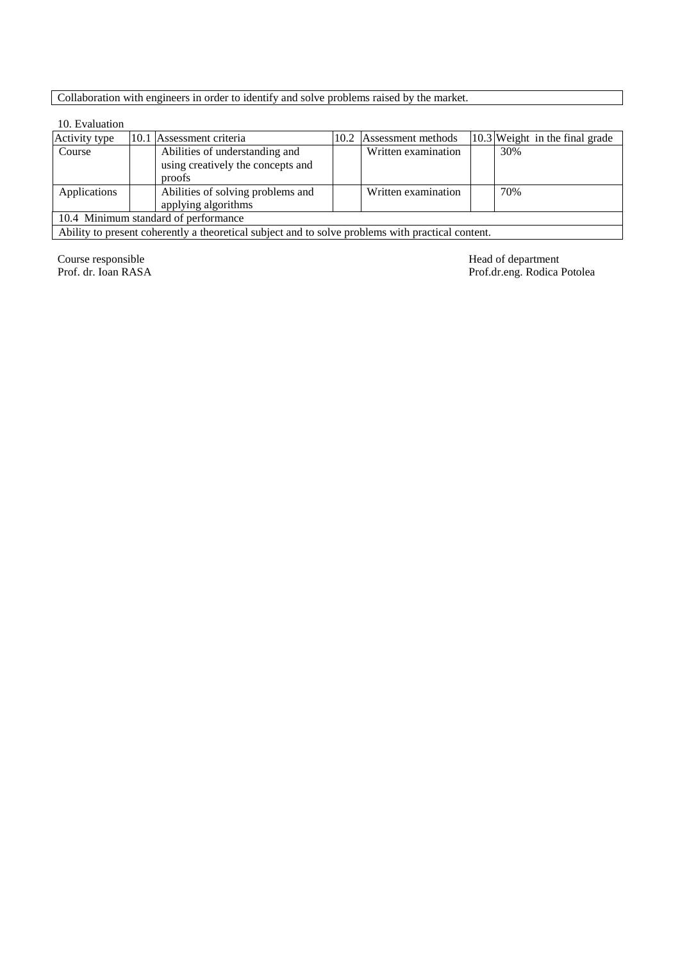# Collaboration with engineers in order to identify and solve problems raised by the market.

#### 10. Evaluation

| Activity type                        |  | 10.1 Assessment criteria                                                                          |  | 10.2 Assessment methods |  | $\left 10.3\right $ Weight in the final grade |  |  |  |
|--------------------------------------|--|---------------------------------------------------------------------------------------------------|--|-------------------------|--|-----------------------------------------------|--|--|--|
| Course                               |  | Abilities of understanding and                                                                    |  | Written examination     |  | 30%                                           |  |  |  |
|                                      |  | using creatively the concepts and                                                                 |  |                         |  |                                               |  |  |  |
|                                      |  | proofs                                                                                            |  |                         |  |                                               |  |  |  |
| Applications                         |  | Abilities of solving problems and                                                                 |  | Written examination     |  | 70%                                           |  |  |  |
|                                      |  | applying algorithms                                                                               |  |                         |  |                                               |  |  |  |
| 10.4 Minimum standard of performance |  |                                                                                                   |  |                         |  |                                               |  |  |  |
|                                      |  | Ability to present coherently a theoretical subject and to solve problems with practical content. |  |                         |  |                                               |  |  |  |

Course responsible<br>Prof. dr. Ioan RASA

Head of department<br>Prof.dr.eng. Rodica Potolea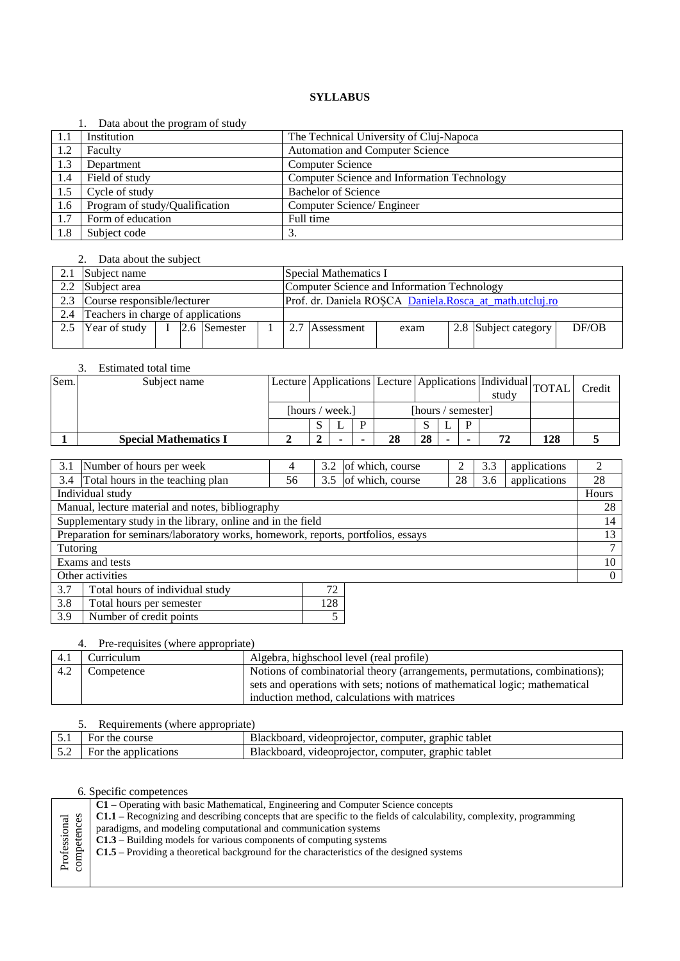|     | Data about the program of study |                                             |
|-----|---------------------------------|---------------------------------------------|
| 1.1 | Institution                     | The Technical University of Cluj-Napoca     |
| 1.2 | Faculty                         | Automation and Computer Science             |
| 1.3 | Department                      | <b>Computer Science</b>                     |
| 1.4 | Field of study                  | Computer Science and Information Technology |
| 1.5 | Cycle of study                  | <b>Bachelor of Science</b>                  |
| 1.6 | Program of study/Qualification  | Computer Science/ Engineer                  |
| 1.7 | Form of education               | Full time                                   |
| 1.8 | Subject code                    | 3.                                          |

#### 2. Data about the subject

|     | Subject name                       |  |  |              |  | Special Mathematics I |                                                         |      |  |                      |       |  |
|-----|------------------------------------|--|--|--------------|--|-----------------------|---------------------------------------------------------|------|--|----------------------|-------|--|
|     | 2.2 Subject area                   |  |  |              |  |                       | Computer Science and Information Technology             |      |  |                      |       |  |
|     | 2.3 Course responsible/lecturer    |  |  |              |  |                       | Prof. dr. Daniela ROSCA Daniela.Rosca_at_math.utcluj.ro |      |  |                      |       |  |
| 2.4 | Teachers in charge of applications |  |  |              |  |                       |                                                         |      |  |                      |       |  |
|     | Year of study                      |  |  | 2.6 Semester |  |                       | Assessment                                              | exam |  | 2.8 Subject category | DF/OB |  |
|     |                                    |  |  |              |  |                       |                                                         |      |  |                      |       |  |

#### 3. Estimated total time

| Sem. | Subject name                 |                 | Lecture Applications Lecture Applications   Individual TOTAL |                    | study |    |    |  | Credit |    |     |  |
|------|------------------------------|-----------------|--------------------------------------------------------------|--------------------|-------|----|----|--|--------|----|-----|--|
|      |                              | [hours / week.] |                                                              | [hours / semester] |       |    |    |  |        |    |     |  |
|      |                              |                 |                                                              |                    |       |    |    |  |        |    |     |  |
|      | <b>Special Mathematics I</b> |                 |                                                              |                    |       | 28 | 28 |  |        | 72 | 128 |  |

| 3.1                                                                              | Number of hours per week             | 4  | 3.2 | of which, course | ↑  | 3.3 | applications | 2        |
|----------------------------------------------------------------------------------|--------------------------------------|----|-----|------------------|----|-----|--------------|----------|
|                                                                                  | 3.4 Total hours in the teaching plan | 56 | 3.5 | of which, course | 28 | 3.6 | applications | 28       |
|                                                                                  | Individual study                     |    |     |                  |    |     |              | Hours    |
| Manual, lecture material and notes, bibliography                                 |                                      |    |     |                  |    |     | 28           |          |
| Supplementary study in the library, online and in the field                      |                                      |    |     |                  |    | 14  |              |          |
| Preparation for seminars/laboratory works, homework, reports, portfolios, essays |                                      |    |     |                  |    | 13  |              |          |
| Tutoring                                                                         |                                      |    |     |                  |    | ⇁   |              |          |
|                                                                                  | Exams and tests                      |    |     |                  |    |     |              | 10       |
|                                                                                  | Other activities                     |    |     |                  |    |     |              | $\Omega$ |
| 3.7                                                                              | Total hours of individual study      |    | 72  |                  |    |     |              |          |
| 3.8                                                                              | Total hours per semester             |    | 128 |                  |    |     |              |          |

# 4. Pre-requisites (where appropriate)

3.9 Number of credit points 5

|     | $\tau$ . The requisites (where appropriate) |                                                                                                                                                                                                           |  |  |  |  |  |  |  |  |
|-----|---------------------------------------------|-----------------------------------------------------------------------------------------------------------------------------------------------------------------------------------------------------------|--|--|--|--|--|--|--|--|
| 4.1 | Curriculum                                  | Algebra, highschool level (real profile)                                                                                                                                                                  |  |  |  |  |  |  |  |  |
| 4.2 | Competence                                  | Notions of combinatorial theory (arrangements, permutations, combinations);<br>sets and operations with sets; notions of mathematical logic; mathematical<br>induction method, calculations with matrices |  |  |  |  |  |  |  |  |

#### 5. Requirements (where appropriate)

| 5.1 | For the course       | Blackboard.<br>graphic tablet<br>videoprojector, computer,    |
|-----|----------------------|---------------------------------------------------------------|
| 5.2 | For the applications | graphic tablet<br>Blackboard.<br>videoprojector.<br>computer. |
|     |                      |                                                               |

| tenc                        | C1 – Operating with basic Mathematical, Engineering and Computer Science concepts                                           |  |  |  |  |  |  |
|-----------------------------|-----------------------------------------------------------------------------------------------------------------------------|--|--|--|--|--|--|
|                             | <b>C1.1</b> – Recognizing and describing concepts that are specific to the fields of calculability, complexity, programming |  |  |  |  |  |  |
|                             | paradigms, and modeling computational and communication systems                                                             |  |  |  |  |  |  |
| $\overline{\text{ss}}$<br>Ъ | $C1.3$ – Building models for various components of computing systems                                                        |  |  |  |  |  |  |
| ψę                          | C1.5 – Providing a theoretical background for the characteristics of the designed systems                                   |  |  |  |  |  |  |
| Profe<br>comp               |                                                                                                                             |  |  |  |  |  |  |
|                             |                                                                                                                             |  |  |  |  |  |  |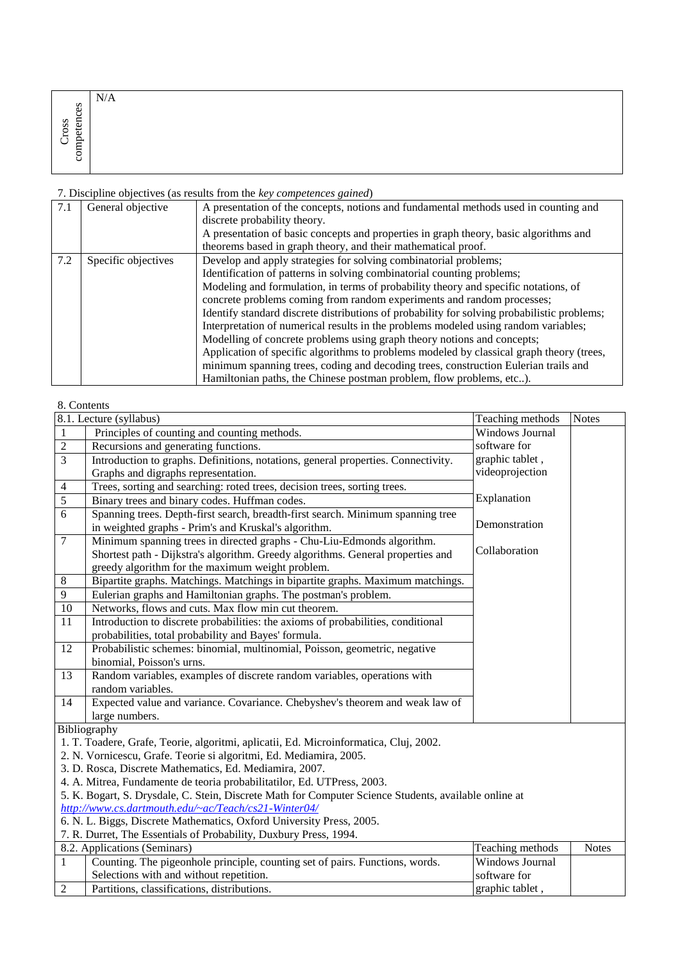|                                           | N/A |
|-------------------------------------------|-----|
| ces                                       |     |
| ā<br>$\frac{1}{2}$<br>$\sim$ $ \sim$<br>ಕ |     |
| Ě                                         |     |
| 5                                         |     |

| 7.1 | General objective   | A presentation of the concepts, notions and fundamental methods used in counting and        |  |  |  |  |  |  |
|-----|---------------------|---------------------------------------------------------------------------------------------|--|--|--|--|--|--|
|     |                     | discrete probability theory.                                                                |  |  |  |  |  |  |
|     |                     | A presentation of basic concepts and properties in graph theory, basic algorithms and       |  |  |  |  |  |  |
|     |                     | theorems based in graph theory, and their mathematical proof.                               |  |  |  |  |  |  |
| 7.2 | Specific objectives | Develop and apply strategies for solving combinatorial problems;                            |  |  |  |  |  |  |
|     |                     | Identification of patterns in solving combinatorial counting problems;                      |  |  |  |  |  |  |
|     |                     | Modeling and formulation, in terms of probability theory and specific notations, of         |  |  |  |  |  |  |
|     |                     | concrete problems coming from random experiments and random processes;                      |  |  |  |  |  |  |
|     |                     | Identify standard discrete distributions of probability for solving probabilistic problems; |  |  |  |  |  |  |
|     |                     | Interpretation of numerical results in the problems modeled using random variables;         |  |  |  |  |  |  |
|     |                     | Modelling of concrete problems using graph theory notions and concepts;                     |  |  |  |  |  |  |
|     |                     | Application of specific algorithms to problems modeled by classical graph theory (trees,    |  |  |  |  |  |  |
|     |                     | minimum spanning trees, coding and decoding trees, construction Eulerian trails and         |  |  |  |  |  |  |
|     |                     | Hamiltonian paths, the Chinese postman problem, flow problems, etc).                        |  |  |  |  |  |  |

# 8. Contents

|                | 8.1. Lecture (syllabus)                                                                               | Teaching methods | <b>Notes</b> |  |  |  |  |  |  |
|----------------|-------------------------------------------------------------------------------------------------------|------------------|--------------|--|--|--|--|--|--|
| 1              | Principles of counting and counting methods.                                                          | Windows Journal  |              |  |  |  |  |  |  |
| $\overline{2}$ | Recursions and generating functions.                                                                  | software for     |              |  |  |  |  |  |  |
| 3              | Introduction to graphs. Definitions, notations, general properties. Connectivity.                     | graphic tablet,  |              |  |  |  |  |  |  |
|                | Graphs and digraphs representation.                                                                   | videoprojection  |              |  |  |  |  |  |  |
| $\overline{4}$ | Trees, sorting and searching: roted trees, decision trees, sorting trees.                             |                  |              |  |  |  |  |  |  |
| $\overline{5}$ | Binary trees and binary codes. Huffman codes.                                                         | Explanation      |              |  |  |  |  |  |  |
| 6              | Spanning trees. Depth-first search, breadth-first search. Minimum spanning tree                       |                  |              |  |  |  |  |  |  |
|                | in weighted graphs - Prim's and Kruskal's algorithm.                                                  | Demonstration    |              |  |  |  |  |  |  |
| $\overline{7}$ | Minimum spanning trees in directed graphs - Chu-Liu-Edmonds algorithm.                                |                  |              |  |  |  |  |  |  |
|                | Shortest path - Dijkstra's algorithm. Greedy algorithms. General properties and                       | Collaboration    |              |  |  |  |  |  |  |
|                | greedy algorithm for the maximum weight problem.                                                      |                  |              |  |  |  |  |  |  |
| $\,8\,$        | Bipartite graphs. Matchings. Matchings in bipartite graphs. Maximum matchings.                        |                  |              |  |  |  |  |  |  |
| 9              | Eulerian graphs and Hamiltonian graphs. The postman's problem.                                        |                  |              |  |  |  |  |  |  |
| 10             | Networks, flows and cuts. Max flow min cut theorem.                                                   |                  |              |  |  |  |  |  |  |
| 11             | Introduction to discrete probabilities: the axioms of probabilities, conditional                      |                  |              |  |  |  |  |  |  |
|                | probabilities, total probability and Bayes' formula.                                                  |                  |              |  |  |  |  |  |  |
| 12             | Probabilistic schemes: binomial, multinomial, Poisson, geometric, negative                            |                  |              |  |  |  |  |  |  |
|                | binomial, Poisson's urns.                                                                             |                  |              |  |  |  |  |  |  |
| 13             | Random variables, examples of discrete random variables, operations with                              |                  |              |  |  |  |  |  |  |
|                | random variables.                                                                                     |                  |              |  |  |  |  |  |  |
| 14             | Expected value and variance. Covariance. Chebyshev's theorem and weak law of                          |                  |              |  |  |  |  |  |  |
|                | large numbers.                                                                                        |                  |              |  |  |  |  |  |  |
|                | Bibliography                                                                                          |                  |              |  |  |  |  |  |  |
|                | 1. T. Toadere, Grafe, Teorie, algoritmi, aplicatii, Ed. Microinformatica, Cluj, 2002.                 |                  |              |  |  |  |  |  |  |
|                | 2. N. Vornicescu, Grafe. Teorie si algoritmi, Ed. Mediamira, 2005.                                    |                  |              |  |  |  |  |  |  |
|                | 3. D. Rosca, Discrete Mathematics, Ed. Mediamira, 2007.                                               |                  |              |  |  |  |  |  |  |
|                | 4. A. Mitrea, Fundamente de teoria probabilitatilor, Ed. UTPress, 2003.                               |                  |              |  |  |  |  |  |  |
|                | 5. K. Bogart, S. Drysdale, C. Stein, Discrete Math for Computer Science Students, available online at |                  |              |  |  |  |  |  |  |
|                | http://www.cs.dartmouth.edu/~ac/Teach/cs21-Winter04/                                                  |                  |              |  |  |  |  |  |  |
|                | 6. N. L. Biggs, Discrete Mathematics, Oxford University Press, 2005.                                  |                  |              |  |  |  |  |  |  |
|                | 7. R. Durret, The Essentials of Probability, Duxbury Press, 1994.                                     |                  |              |  |  |  |  |  |  |
|                | 8.2. Applications (Seminars)                                                                          | Teaching methods | <b>Notes</b> |  |  |  |  |  |  |
| $\mathbf{1}$   | Counting. The pigeonhole principle, counting set of pairs. Functions, words.                          | Windows Journal  |              |  |  |  |  |  |  |
|                | Selections with and without repetition.                                                               | software for     |              |  |  |  |  |  |  |
| $\overline{2}$ | Partitions, classifications, distributions.                                                           | graphic tablet,  |              |  |  |  |  |  |  |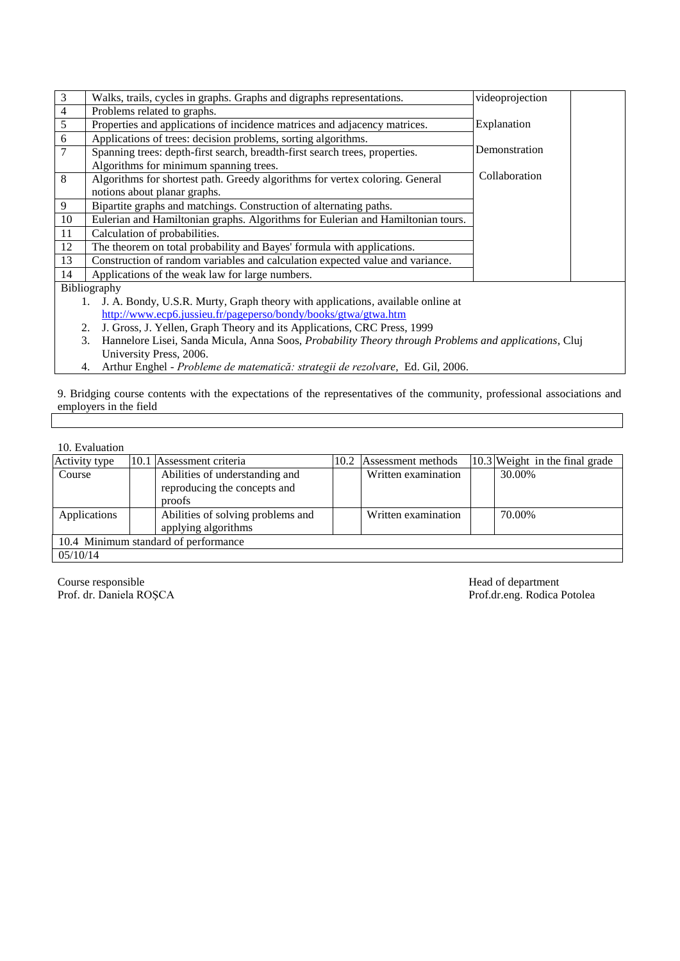| 3                                                              | Walks, trails, cycles in graphs. Graphs and digraphs representations.                                      | videoprojection |  |  |  |  |  |  |
|----------------------------------------------------------------|------------------------------------------------------------------------------------------------------------|-----------------|--|--|--|--|--|--|
| $\overline{4}$                                                 | Problems related to graphs.                                                                                |                 |  |  |  |  |  |  |
| 5                                                              | Properties and applications of incidence matrices and adjacency matrices.                                  | Explanation     |  |  |  |  |  |  |
| 6                                                              | Applications of trees: decision problems, sorting algorithms.                                              |                 |  |  |  |  |  |  |
| 7                                                              | Spanning trees: depth-first search, breadth-first search trees, properties.                                | Demonstration   |  |  |  |  |  |  |
|                                                                | Algorithms for minimum spanning trees.                                                                     |                 |  |  |  |  |  |  |
| 8                                                              | Algorithms for shortest path. Greedy algorithms for vertex coloring. General                               | Collaboration   |  |  |  |  |  |  |
|                                                                | notions about planar graphs.                                                                               |                 |  |  |  |  |  |  |
| 9                                                              | Bipartite graphs and matchings. Construction of alternating paths.                                         |                 |  |  |  |  |  |  |
| 10                                                             | Eulerian and Hamiltonian graphs. Algorithms for Eulerian and Hamiltonian tours.                            |                 |  |  |  |  |  |  |
| 11                                                             | Calculation of probabilities.                                                                              |                 |  |  |  |  |  |  |
| 12                                                             | The theorem on total probability and Bayes' formula with applications.                                     |                 |  |  |  |  |  |  |
| 13                                                             | Construction of random variables and calculation expected value and variance.                              |                 |  |  |  |  |  |  |
| 14                                                             | Applications of the weak law for large numbers.                                                            |                 |  |  |  |  |  |  |
|                                                                | Bibliography                                                                                               |                 |  |  |  |  |  |  |
|                                                                | J. A. Bondy, U.S.R. Murty, Graph theory with applications, available online at                             |                 |  |  |  |  |  |  |
| http://www.ecp6.jussieu.fr/pageperso/bondy/books/gtwa/gtwa.htm |                                                                                                            |                 |  |  |  |  |  |  |
|                                                                | J. Gross, J. Yellen, Graph Theory and its Applications, CRC Press, 1999<br>2.                              |                 |  |  |  |  |  |  |
|                                                                | Hannelore Lisei, Sanda Micula, Anna Soos, Probability Theory through Problems and applications, Cluj<br>3. |                 |  |  |  |  |  |  |
|                                                                | University Press, 2006.                                                                                    |                 |  |  |  |  |  |  |

4. Arthur Enghel - *Probleme de matematică: strategii de rezolvare*, Ed. Gil, 2006.

9. Bridging course contents with the expectations of the representatives of the community, professional associations and employers in the field

#### 10. Evaluation

| Activity type                        |  | 10.1 Assessment criteria                                                 | 10.2 | Assessment methods  |  | $10.3$ Weight in the final grade |  |  |  |
|--------------------------------------|--|--------------------------------------------------------------------------|------|---------------------|--|----------------------------------|--|--|--|
| Course                               |  | Abilities of understanding and<br>reproducing the concepts and<br>proofs |      | Written examination |  | 30.00%                           |  |  |  |
|                                      |  |                                                                          |      |                     |  |                                  |  |  |  |
| Applications                         |  | Abilities of solving problems and                                        |      | Written examination |  | 70.00%                           |  |  |  |
|                                      |  | applying algorithms                                                      |      |                     |  |                                  |  |  |  |
| 10.4 Minimum standard of performance |  |                                                                          |      |                     |  |                                  |  |  |  |
| 05/10/14                             |  |                                                                          |      |                     |  |                                  |  |  |  |

Course responsible Head of department

Prof. dr. Daniela ROŞCA Prof.dr.eng. Rodica Potolea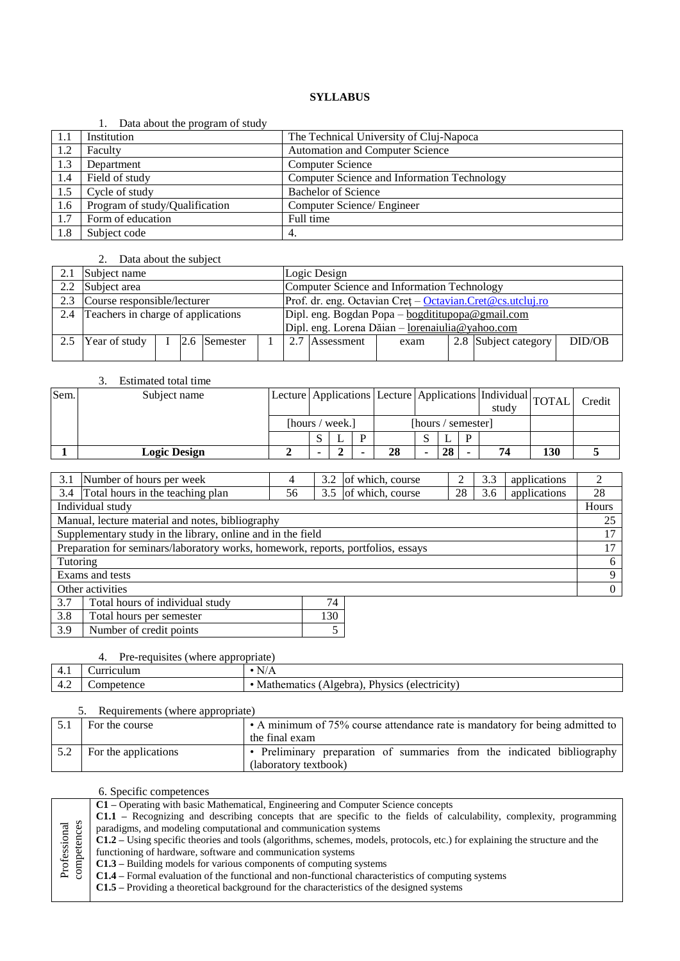|     | Data about the program of study |                                             |
|-----|---------------------------------|---------------------------------------------|
| 1.1 | Institution                     | The Technical University of Cluj-Napoca     |
| 1.2 | Faculty                         | <b>Automation and Computer Science</b>      |
| 1.3 | Department                      | <b>Computer Science</b>                     |
| 1.4 | Field of study                  | Computer Science and Information Technology |
| 1.5 | Cycle of study                  | <b>Bachelor of Science</b>                  |
| 1.6 | Program of study/Qualification  | Computer Science/ Engineer                  |
| 1.7 | Form of education               | Full time                                   |
| 1.8 | Subject code                    | 4.                                          |

# 2. Data about the subject

| 2.1 | Subject name                           |  |  |              |  | Logic Design                                     |                                                           |      |  |                      |        |  |  |
|-----|----------------------------------------|--|--|--------------|--|--------------------------------------------------|-----------------------------------------------------------|------|--|----------------------|--------|--|--|
|     | 2.2 Subject area                       |  |  |              |  |                                                  | Computer Science and Information Technology               |      |  |                      |        |  |  |
| 2.3 | Course responsible/lecturer            |  |  |              |  |                                                  | Prof. dr. eng. Octavian Cret - Octavian.Cret@cs.utcluj.ro |      |  |                      |        |  |  |
|     | 2.4 Teachers in charge of applications |  |  |              |  | Dipl. eng. Bogdan Popa - bogdititupopa@gmail.com |                                                           |      |  |                      |        |  |  |
|     |                                        |  |  |              |  | Dipl. eng. Lorena Dăian – lorenaiulia@yahoo.com  |                                                           |      |  |                      |        |  |  |
|     | Year of study                          |  |  | 2.6 Semester |  |                                                  | 2.7 Assessment                                            | exam |  | 2.8 Subject category | DID/OB |  |  |
|     |                                        |  |  |              |  |                                                  |                                                           |      |  |                      |        |  |  |

|      | Estimated total time |                 |  |                    |    |  |                                                                      |   |       |     |        |
|------|----------------------|-----------------|--|--------------------|----|--|----------------------------------------------------------------------|---|-------|-----|--------|
| Sem. | Subject name         |                 |  |                    |    |  | Lecture   Applications   Lecture   Applications   Individual   TOTAL |   | study |     | Credit |
|      |                      | [hours / week.] |  | [hours / semester] |    |  |                                                                      |   |       |     |        |
|      |                      |                 |  | D                  |    |  |                                                                      | Ð |       |     |        |
|      | <b>Logic Design</b>  |                 |  |                    | 28 |  | 28                                                                   |   | 74    | 130 |        |

| 3.1                                                         | Number of hours per week                                                         | 4  | 3.2       | of which, course     |    | 3.3 | applications | $\mathfrak{D}$ |
|-------------------------------------------------------------|----------------------------------------------------------------------------------|----|-----------|----------------------|----|-----|--------------|----------------|
|                                                             | 3.4 Total hours in the teaching plan                                             | 56 |           | 3.5 of which, course | 28 | 3.6 | applications | 28             |
|                                                             | Individual study                                                                 |    |           |                      |    |     |              | Hours          |
|                                                             | Manual, lecture material and notes, bibliography                                 |    |           |                      |    |     |              | 25             |
| Supplementary study in the library, online and in the field |                                                                                  |    |           |                      |    |     | 17           |                |
|                                                             | Preparation for seminars/laboratory works, homework, reports, portfolios, essays |    |           |                      |    |     |              | 17             |
| Tutoring                                                    |                                                                                  |    |           |                      |    |     |              | 6              |
|                                                             | Exams and tests                                                                  |    |           |                      |    |     |              | 9              |
|                                                             | Other activities                                                                 |    |           |                      |    |     |              | $\Omega$       |
| 3.7                                                         | Total hours of individual study                                                  |    | 74        |                      |    |     |              |                |
| 2Q                                                          | Total hours not samester                                                         |    | 12 $\cap$ |                      |    |     |              |                |

| 13.8  | Total hours per semester |  |
|-------|--------------------------|--|
| l 3.9 | Number of credit points  |  |

# 4. Pre-requisites (where appropriate)

| T. 1<br>the control of the control of the | <b>TRANSPORT COMMA</b><br>нин<br> | $-$<br>N/A<br>$ -$                                                                                                |
|-------------------------------------------|-----------------------------------|-------------------------------------------------------------------------------------------------------------------|
| ᠇.∠<br>the contract of the contract of    | .nc/<br>ገተ<br>nе                  | Dh.<br>rehra<br>electricity)<br>1CS<br>$\cdot$ ivsic $\cdot$<br>nа<br>$\sigma$<br>ne<br>IVІ<br>. .<br>.<br>$\sim$ |

| 5. Requirements (where appropriate) |                                                                              |  |  |  |  |  |  |  |  |
|-------------------------------------|------------------------------------------------------------------------------|--|--|--|--|--|--|--|--|
| For the course                      | • A minimum of 75% course attendance rate is mandatory for being admitted to |  |  |  |  |  |  |  |  |
|                                     | the final exam                                                               |  |  |  |  |  |  |  |  |
| For the applications                | • Preliminary preparation of summaries from the indicated bibliography       |  |  |  |  |  |  |  |  |
|                                     | (laboratory textbook)                                                        |  |  |  |  |  |  |  |  |

|                             | C1 - Operating with basic Mathematical, Engineering and Computer Science concepts                                                   |  |  |  |  |  |  |
|-----------------------------|-------------------------------------------------------------------------------------------------------------------------------------|--|--|--|--|--|--|
|                             | C1.1 – Recognizing and describing concepts that are specific to the fields of calculability, complexity, programming                |  |  |  |  |  |  |
|                             | paradigms, and modeling computational and communication systems                                                                     |  |  |  |  |  |  |
|                             | <b>C1.2</b> – Using specific theories and tools (algorithms, schemes, models, protocols, etc.) for explaining the structure and the |  |  |  |  |  |  |
|                             | functioning of hardware, software and communication systems                                                                         |  |  |  |  |  |  |
| Professional<br>competences | $C1.3$ – Building models for various components of computing systems                                                                |  |  |  |  |  |  |
|                             | C1.4 – Formal evaluation of the functional and non-functional characteristics of computing systems                                  |  |  |  |  |  |  |
|                             | <b>C1.5</b> – Providing a theoretical background for the characteristics of the designed systems                                    |  |  |  |  |  |  |
|                             |                                                                                                                                     |  |  |  |  |  |  |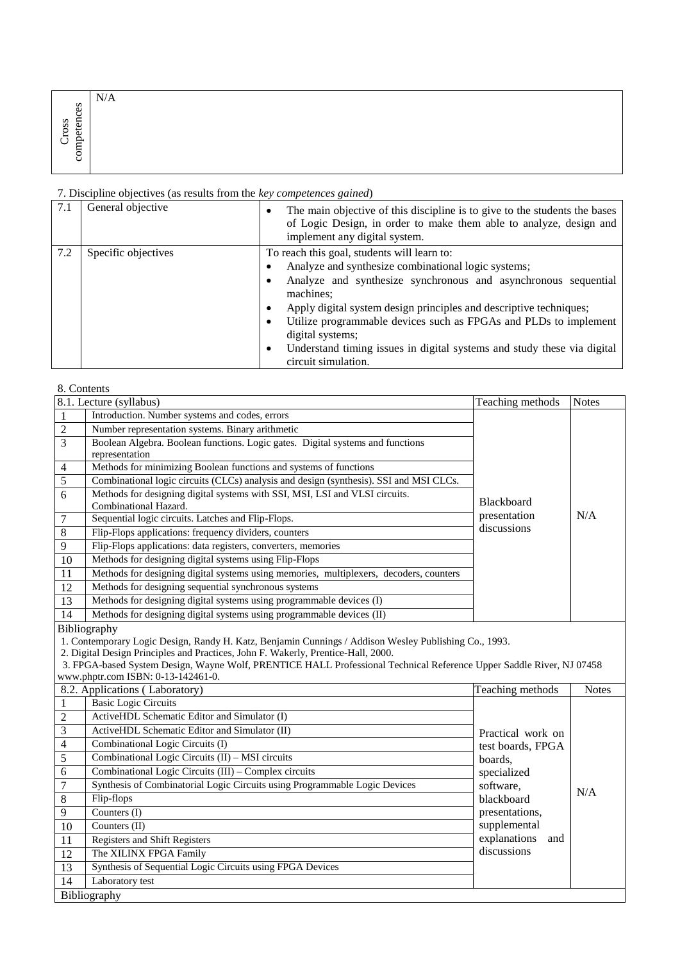|                           | N/A |  |
|---------------------------|-----|--|
| $\mathbf{e}$ s<br>SS<br>≂ |     |  |
|                           |     |  |
| ∽<br>ب                    |     |  |
| Ö                         |     |  |

| 7.1 | General objective   | The main objective of this discipline is to give to the students the bases<br>٠<br>of Logic Design, in order to make them able to analyze, design and<br>implement any digital system. |
|-----|---------------------|----------------------------------------------------------------------------------------------------------------------------------------------------------------------------------------|
| 7.2 | Specific objectives | To reach this goal, students will learn to:                                                                                                                                            |
|     |                     | Analyze and synthesize combinational logic systems;<br>٠                                                                                                                               |
|     |                     | Analyze and synthesize synchronous and asynchronous sequential<br>٠<br>machines:                                                                                                       |
|     |                     | Apply digital system design principles and descriptive techniques;<br>٠                                                                                                                |
|     |                     | Utilize programmable devices such as FPGAs and PLDs to implement<br>٠<br>digital systems;                                                                                              |
|     |                     | Understand timing issues in digital systems and study these via digital<br>٠<br>circuit simulation.                                                                                    |

# 8. Contents

|                | 8.1. Lecture (syllabus)                                                                                                                                                                                                                                                                                                                                  | Teaching methods    | <b>Notes</b> |
|----------------|----------------------------------------------------------------------------------------------------------------------------------------------------------------------------------------------------------------------------------------------------------------------------------------------------------------------------------------------------------|---------------------|--------------|
| $\mathbf{1}$   | Introduction. Number systems and codes, errors                                                                                                                                                                                                                                                                                                           |                     |              |
| $\sqrt{2}$     | Number representation systems. Binary arithmetic                                                                                                                                                                                                                                                                                                         |                     |              |
| 3              | Boolean Algebra. Boolean functions. Logic gates. Digital systems and functions<br>representation                                                                                                                                                                                                                                                         |                     |              |
| $\overline{4}$ | Methods for minimizing Boolean functions and systems of functions                                                                                                                                                                                                                                                                                        |                     |              |
| $\sqrt{5}$     | Combinational logic circuits (CLCs) analysis and design (synthesis). SSI and MSI CLCs.                                                                                                                                                                                                                                                                   |                     |              |
| 6              | Methods for designing digital systems with SSI, MSI, LSI and VLSI circuits.<br>Combinational Hazard.                                                                                                                                                                                                                                                     | <b>Blackboard</b>   |              |
| 7              | Sequential logic circuits. Latches and Flip-Flops.                                                                                                                                                                                                                                                                                                       | presentation        | N/A          |
| $\,8\,$        | Flip-Flops applications: frequency dividers, counters                                                                                                                                                                                                                                                                                                    | discussions         |              |
| $\overline{9}$ | Flip-Flops applications: data registers, converters, memories                                                                                                                                                                                                                                                                                            |                     |              |
| 10             | Methods for designing digital systems using Flip-Flops                                                                                                                                                                                                                                                                                                   |                     |              |
| 11             | Methods for designing digital systems using memories, multiplexers, decoders, counters                                                                                                                                                                                                                                                                   |                     |              |
| 12             | Methods for designing sequential synchronous systems                                                                                                                                                                                                                                                                                                     |                     |              |
| 13             | Methods for designing digital systems using programmable devices (I)                                                                                                                                                                                                                                                                                     |                     |              |
| 14             | Methods for designing digital systems using programmable devices (II)                                                                                                                                                                                                                                                                                    |                     |              |
|                | 1. Contemporary Logic Design, Randy H. Katz, Benjamin Cunnings / Addison Wesley Publishing Co., 1993.<br>2. Digital Design Principles and Practices, John F. Wakerly, Prentice-Hall, 2000.<br>3. FPGA-based System Design, Wayne Wolf, PRENTICE HALL Professional Technical Reference Upper Saddle River, NJ 07458<br>www.phptr.com ISBN: 0-13-142461-0. |                     |              |
|                | 8.2. Applications (Laboratory)                                                                                                                                                                                                                                                                                                                           | Teaching methods    | <b>Notes</b> |
| 1              | <b>Basic Logic Circuits</b>                                                                                                                                                                                                                                                                                                                              |                     |              |
| $\mathfrak{2}$ | ActiveHDL Schematic Editor and Simulator (I)                                                                                                                                                                                                                                                                                                             |                     |              |
| 3              | ActiveHDL Schematic Editor and Simulator (II)                                                                                                                                                                                                                                                                                                            | Practical work on   |              |
| 4              | Combinational Logic Circuits (I)                                                                                                                                                                                                                                                                                                                         | test boards, FPGA   |              |
| 5              | Combinational Logic Circuits (II) - MSI circuits                                                                                                                                                                                                                                                                                                         | boards,             |              |
| 6              | Combinational Logic Circuits (III) - Complex circuits                                                                                                                                                                                                                                                                                                    | specialized         |              |
| 7              | Synthesis of Combinatorial Logic Circuits using Programmable Logic Devices                                                                                                                                                                                                                                                                               | software,           | N/A          |
| 8              | Flip-flops                                                                                                                                                                                                                                                                                                                                               | blackboard          |              |
| 9              | Counters (I)                                                                                                                                                                                                                                                                                                                                             | presentations,      |              |
| 10             | Counters $(II)$                                                                                                                                                                                                                                                                                                                                          | supplemental        |              |
| 11             | Registers and Shift Registers                                                                                                                                                                                                                                                                                                                            | explanations<br>and |              |
| 12             |                                                                                                                                                                                                                                                                                                                                                          |                     |              |
|                | The XILINX FPGA Family                                                                                                                                                                                                                                                                                                                                   | discussions         |              |
| 13             | Synthesis of Sequential Logic Circuits using FPGA Devices                                                                                                                                                                                                                                                                                                |                     |              |
| 14             | Laboratory test                                                                                                                                                                                                                                                                                                                                          |                     |              |
|                | Bibliography                                                                                                                                                                                                                                                                                                                                             |                     |              |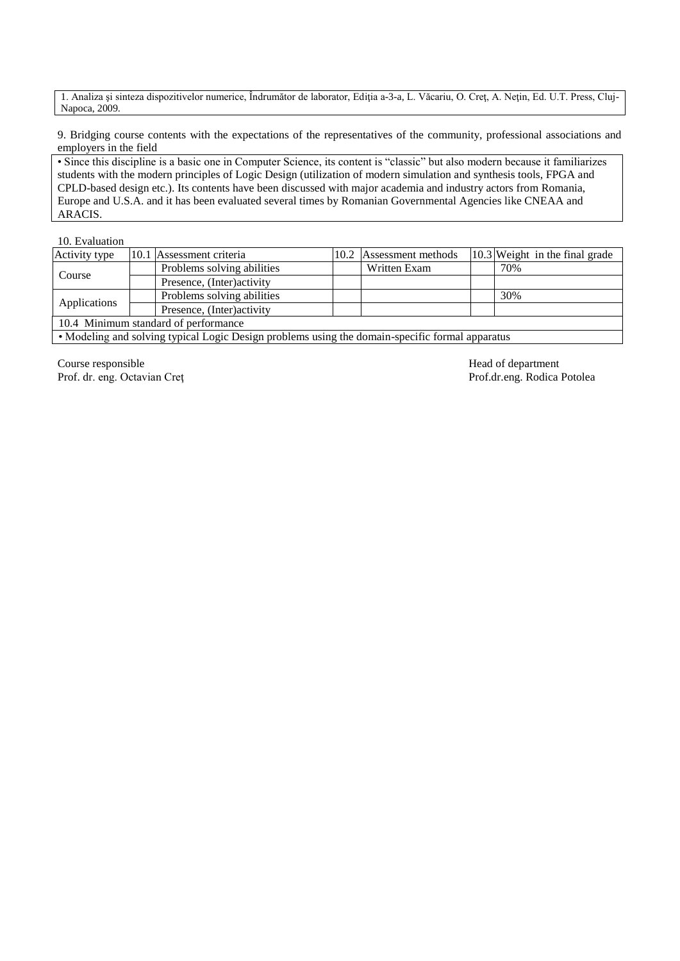1. Analiza şi sinteza dispozitivelor numerice, Îndrumător de laborator, Ediţia a-3-a, L. Văcariu, O. Creţ, A. Neţin, Ed. U.T. Press, Cluj-Napoca, 2009.

9. Bridging course contents with the expectations of the representatives of the community, professional associations and employers in the field

• Since this discipline is a basic one in Computer Science, its content is "classic" but also modern because it familiarizes students with the modern principles of Logic Design (utilization of modern simulation and synthesis tools, FPGA and CPLD-based design etc.). Its contents have been discussed with major academia and industry actors from Romania, Europe and U.S.A. and it has been evaluated several times by Romanian Governmental Agencies like CNEAA and ARACIS.

#### 10. Evaluation

| Activity type                        |  | 10.1 Assessment criteria   |  | 10.2 Assessment methods |  | 10.3 Weight in the final grade |  |  |
|--------------------------------------|--|----------------------------|--|-------------------------|--|--------------------------------|--|--|
| Course                               |  | Problems solving abilities |  | Written Exam            |  | 70%                            |  |  |
|                                      |  | Presence, (Inter) activity |  |                         |  |                                |  |  |
|                                      |  | Problems solving abilities |  |                         |  | 30%                            |  |  |
| Applications                         |  | Presence, (Inter) activity |  |                         |  |                                |  |  |
| 10.4 Minimum standard of performance |  |                            |  |                         |  |                                |  |  |
|                                      |  |                            |  |                         |  |                                |  |  |

• Modeling and solving typical Logic Design problems using the domain-specific formal apparatus

Course responsible Head of department Prof. dr. eng. Octavian Creţ Prof.dr.eng. Rodica Potolea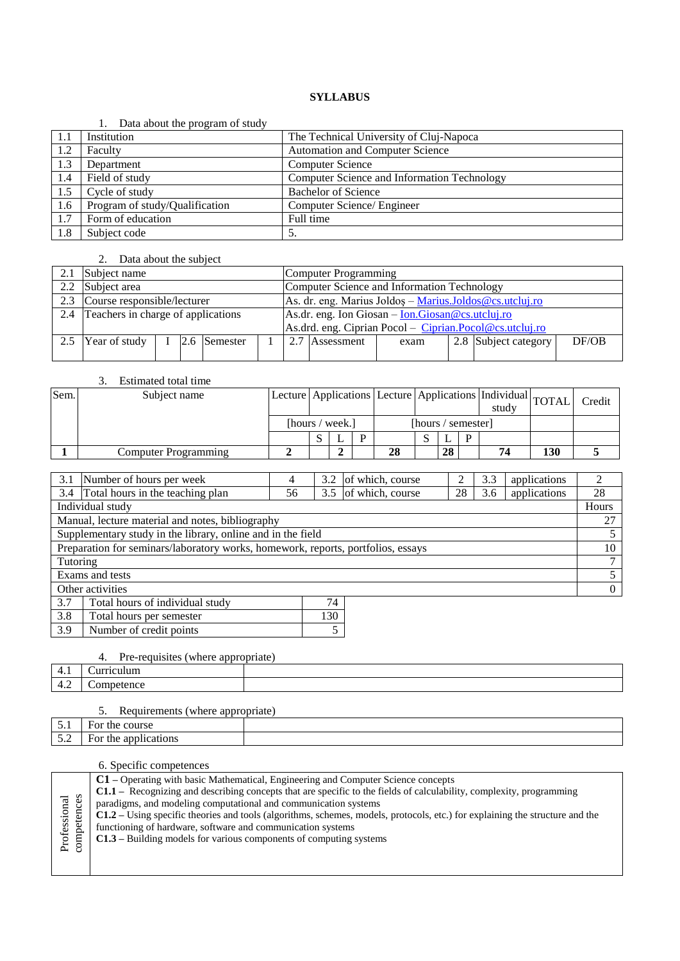|     | Data about the program of study |                                             |
|-----|---------------------------------|---------------------------------------------|
| 1.1 | Institution                     | The Technical University of Cluj-Napoca     |
| 1.2 | Faculty                         | <b>Automation and Computer Science</b>      |
| 1.3 | Department                      | <b>Computer Science</b>                     |
| 1.4 | Field of study                  | Computer Science and Information Technology |
| 1.5 | Cycle of study                  | <b>Bachelor of Science</b>                  |
| 1.6 | Program of study/Qualification  | Computer Science/ Engineer                  |
| 1.7 | Form of education               | Full time                                   |
| 1.8 | Subject code                    | $\mathcal{L}$                               |

# 2. Data about the subject

| 2.1 | Subject name                           |  |  |              |  | Computer Programming                                                                               |                                                          |      |  |                      |       |  |
|-----|----------------------------------------|--|--|--------------|--|----------------------------------------------------------------------------------------------------|----------------------------------------------------------|------|--|----------------------|-------|--|
|     | 2.2 Subject area                       |  |  |              |  |                                                                                                    | Computer Science and Information Technology              |      |  |                      |       |  |
|     | 2.3 Course responsible/lecturer        |  |  |              |  |                                                                                                    | As. dr. eng. Marius Joldoș - Marius Joldos @cs.utcluj.ro |      |  |                      |       |  |
|     | 2.4 Teachers in charge of applications |  |  |              |  | As.dr. eng. Ion Giosan $-\underline{\text{Ion.Giosan}\,\textcircled{e}c\text{s.utclui},\text{ro}}$ |                                                          |      |  |                      |       |  |
|     |                                        |  |  |              |  |                                                                                                    | As.drd. eng. Ciprian Pocol – Ciprian.Pocol@cs.utcluj.ro  |      |  |                      |       |  |
|     | Year of study                          |  |  | 2.6 Semester |  |                                                                                                    | 2.7 Assessment                                           | exam |  | 2.8 Subject category | DF/OB |  |
|     |                                        |  |  |              |  |                                                                                                    |                                                          |      |  |                      |       |  |

### 3. Estimated total time

| Sem. | Subject name                |                 |  |    |                    |    | Lecture Applications Lecture Applications Individual TOTAL<br>study |     | Credit |
|------|-----------------------------|-----------------|--|----|--------------------|----|---------------------------------------------------------------------|-----|--------|
|      |                             | [hours / week.] |  |    | [hours / semester] |    |                                                                     |     |        |
|      |                             |                 |  |    |                    | ., |                                                                     |     |        |
|      | <b>Computer Programming</b> |                 |  | 28 |                    | 28 | 74                                                                  | 130 |        |

| 3.1              | Number of hours per week                                                         | 4  | 3.2 | of which, course |    | 3.3            | applications |       |
|------------------|----------------------------------------------------------------------------------|----|-----|------------------|----|----------------|--------------|-------|
| 3.4              | Total hours in the teaching plan                                                 | 56 | 3.5 | of which, course | 28 | 3.6            | applications | 28    |
|                  | Individual study                                                                 |    |     |                  |    |                |              | Hours |
|                  | Manual, lecture material and notes, bibliography                                 |    |     |                  |    |                |              | 27    |
|                  | Supplementary study in the library, online and in the field                      |    |     |                  |    |                |              |       |
|                  | Preparation for seminars/laboratory works, homework, reports, portfolios, essays |    |     |                  |    |                |              | 10    |
| Tutoring         |                                                                                  |    |     |                  |    |                |              | 7     |
| Exams and tests  |                                                                                  |    |     |                  |    | 5              |              |       |
| Other activities |                                                                                  |    |     |                  |    | $\overline{0}$ |              |       |
| 3.7              | Total hours of individual study                                                  |    | 74  |                  |    |                |              |       |
| 3.8              | 130<br>Total hours per semester                                                  |    |     |                  |    |                |              |       |

# 4. Pre-requisites (where appropriate)

3.9 Number of credit points 5

|   | .<br>.<br>. |  |  |  |  |  |  |
|---|-------------|--|--|--|--|--|--|
| . |             |  |  |  |  |  |  |
| . |             |  |  |  |  |  |  |
|   |             |  |  |  |  |  |  |

# 5. Requirements (where appropriate)

| $\tilde{\phantom{a}}$               | For<br>001140<br>ourse<br>uit          |  |
|-------------------------------------|----------------------------------------|--|
| $\tilde{\phantom{a}}$<br>-<br>ັບ •້ | cations<br>For<br>$\sim$<br>the<br>adi |  |

|                                       | <b>C1</b> – Operating with basic Mathematical, Engineering and Computer Science concepts<br>C1.1 – Recognizing and describing concepts that are specific to the fields of calculability, complexity, programming<br>paradigms, and modeling computational and communication systems |
|---------------------------------------|-------------------------------------------------------------------------------------------------------------------------------------------------------------------------------------------------------------------------------------------------------------------------------------|
|                                       | $C1.2$ – Using specific theories and tools (algorithms, schemes, models, protocols, etc.) for explaining the structure and the                                                                                                                                                      |
| Professional<br>competences<br>mpeten | functioning of hardware, software and communication systems                                                                                                                                                                                                                         |
|                                       | $C1.3$ – Building models for various components of computing systems                                                                                                                                                                                                                |
|                                       |                                                                                                                                                                                                                                                                                     |
|                                       |                                                                                                                                                                                                                                                                                     |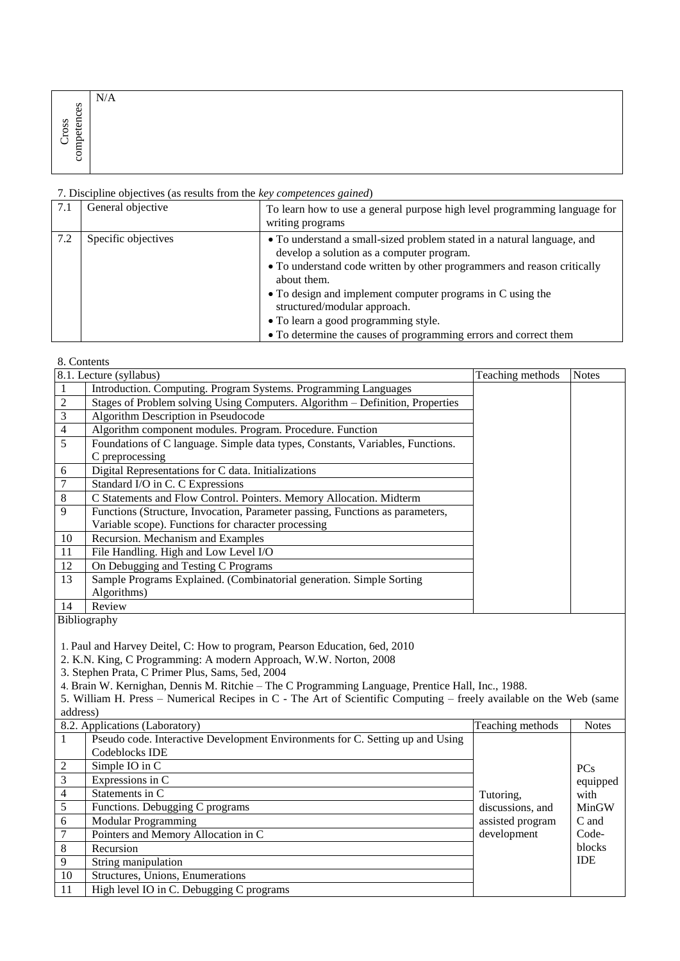|                       | N/A |  |
|-----------------------|-----|--|
| ces<br>᠆<br>SS<br>₩   |     |  |
| υ<br>ب<br>α.          |     |  |
| –<br>∼<br>-<br>≍<br>ర |     |  |
|                       |     |  |

| 7.1 | General objective   | To learn how to use a general purpose high level programming language for<br>writing programs                                                                                                                                                                                                                                                                                                                            |
|-----|---------------------|--------------------------------------------------------------------------------------------------------------------------------------------------------------------------------------------------------------------------------------------------------------------------------------------------------------------------------------------------------------------------------------------------------------------------|
| 7.2 | Specific objectives | • To understand a small-sized problem stated in a natural language, and<br>develop a solution as a computer program.<br>• To understand code written by other programmers and reason critically<br>about them.<br>• To design and implement computer programs in C using the<br>structured/modular approach.<br>• To learn a good programming style.<br>• To determine the causes of programming errors and correct them |

| 8. Contents    |                                                                                |                  |              |
|----------------|--------------------------------------------------------------------------------|------------------|--------------|
|                | 8.1. Lecture (syllabus)                                                        | Teaching methods | <b>Notes</b> |
|                | Introduction. Computing. Program Systems. Programming Languages                |                  |              |
| 2              | Stages of Problem solving Using Computers. Algorithm – Definition, Properties  |                  |              |
| 3              | Algorithm Description in Pseudocode                                            |                  |              |
| $\overline{4}$ | Algorithm component modules. Program. Procedure. Function                      |                  |              |
| 5              | Foundations of C language. Simple data types, Constants, Variables, Functions. |                  |              |
|                | C preprocessing                                                                |                  |              |
| 6              | Digital Representations for C data. Initializations                            |                  |              |
| 7              | Standard I/O in C. C Expressions                                               |                  |              |
| 8              | C Statements and Flow Control. Pointers. Memory Allocation. Midterm            |                  |              |
| 9              | Functions (Structure, Invocation, Parameter passing, Functions as parameters,  |                  |              |
|                | Variable scope). Functions for character processing                            |                  |              |
| 10             | Recursion. Mechanism and Examples                                              |                  |              |
| 11             | File Handling. High and Low Level I/O                                          |                  |              |
| 12             | On Debugging and Testing C Programs                                            |                  |              |
| 13             | Sample Programs Explained. (Combinatorial generation. Simple Sorting           |                  |              |
|                | Algorithms)                                                                    |                  |              |
| 14             | Review                                                                         |                  |              |
|                | $DihicorrochU$                                                                 |                  |              |

Bibliography

1. Paul and Harvey Deitel, C: How to program, Pearson Education, 6ed, 2010

2. K.N. King, C Programming: A modern Approach, W.W. Norton, 2008

3. Stephen Prata, C Primer Plus, Sams, 5ed, 2004

4. Brain W. Kernighan, Dennis M. Ritchie – The C Programming Language, Prentice Hall, Inc., 1988.

5. William H. Press – Numerical Recipes in C - The Art of Scientific Computing – freely available on the Web (same address)

|                | 8.2. Applications (Laboratory)                                                | Teaching methods | <b>Notes</b> |
|----------------|-------------------------------------------------------------------------------|------------------|--------------|
| 1              | Pseudo code. Interactive Development Environments for C. Setting up and Using |                  |              |
|                | Codeblocks IDE                                                                |                  |              |
| 2              | Simple IO in C                                                                |                  | <b>PCs</b>   |
| $\overline{3}$ | Expressions in C                                                              |                  | equipped     |
| $\overline{4}$ | Statements in C                                                               | Tutoring,        | with         |
| 5              | Functions. Debugging C programs                                               | discussions, and | MinGW        |
| 6              | <b>Modular Programming</b>                                                    | assisted program | C and        |
| $\overline{7}$ | Pointers and Memory Allocation in C                                           | development      | Code-        |
| -8             | Recursion                                                                     |                  | blocks       |
| $\overline{9}$ | String manipulation                                                           |                  | <b>IDE</b>   |
| 10             | Structures, Unions, Enumerations                                              |                  |              |
| -11            | High level IO in C. Debugging C programs                                      |                  |              |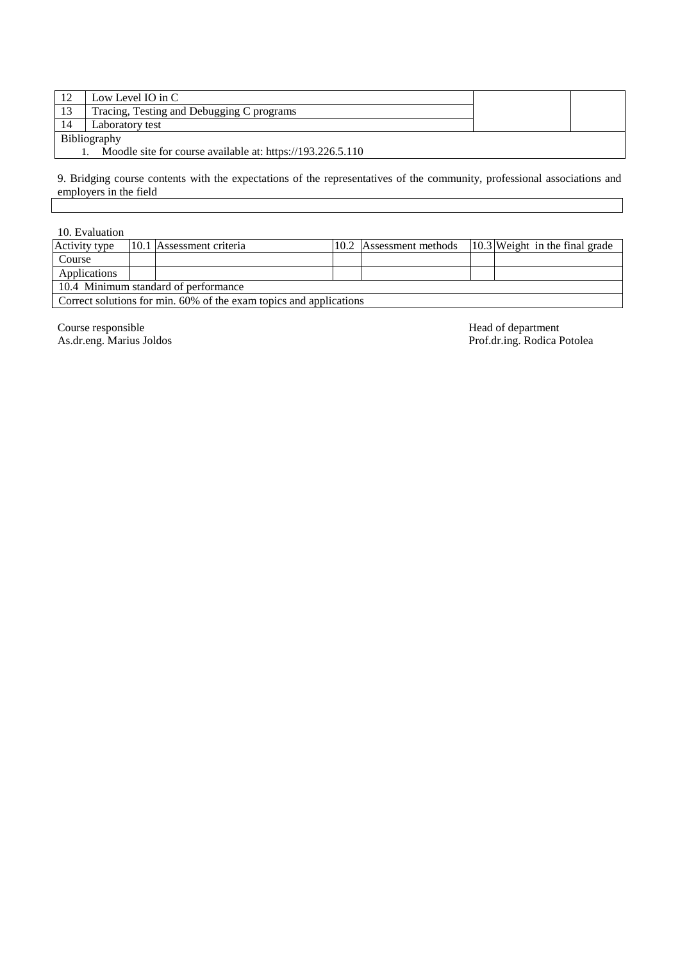|              | Low Level IO in C                                          |  |  |  |
|--------------|------------------------------------------------------------|--|--|--|
| 13           | Tracing, Testing and Debugging C programs                  |  |  |  |
| 14           | Laboratory test                                            |  |  |  |
| Bibliography |                                                            |  |  |  |
|              | Moodle site for course available at: https://193.226.5.110 |  |  |  |

9. Bridging course contents with the expectations of the representatives of the community, professional associations and employers in the field

| 10. Evaluation                                                     |  |                          |  |                         |  |                                  |
|--------------------------------------------------------------------|--|--------------------------|--|-------------------------|--|----------------------------------|
| Activity type                                                      |  | 10.1 Assessment criteria |  | 10.2 Assessment methods |  | $10.3$ Weight in the final grade |
| Course                                                             |  |                          |  |                         |  |                                  |
| Applications                                                       |  |                          |  |                         |  |                                  |
| 10.4 Minimum standard of performance                               |  |                          |  |                         |  |                                  |
| Correct solutions for min. 60% of the exam topics and applications |  |                          |  |                         |  |                                  |

Course responsible Head of department

As.dr.eng. Marius Joldos Prof.dr.ing. Rodica Potolea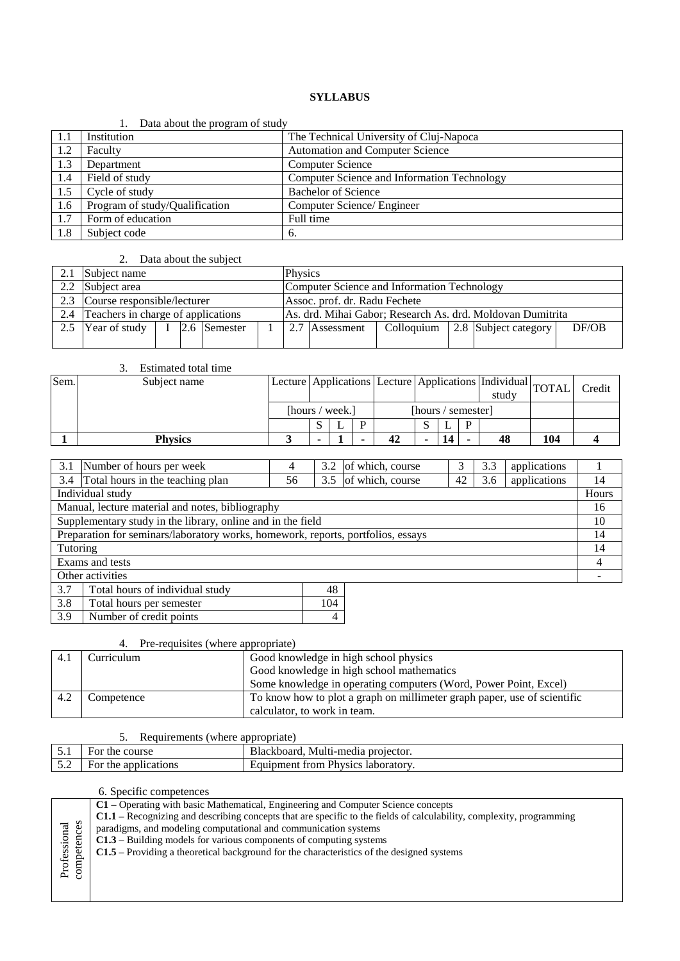|     | Data about the program of study |                                             |
|-----|---------------------------------|---------------------------------------------|
| 1.1 | Institution                     | The Technical University of Cluj-Napoca     |
| 1.2 | Faculty                         | <b>Automation and Computer Science</b>      |
| 1.3 | Department                      | <b>Computer Science</b>                     |
| 1.4 | Field of study                  | Computer Science and Information Technology |
| 1.5 | Cycle of study                  | <b>Bachelor of Science</b>                  |
| 1.6 | Program of study/Qualification  | Computer Science/ Engineer                  |
| 1.7 | Form of education               | Full time                                   |
| 1.8 | Subject code                    | -6.                                         |

#### 1. Data about the program of study

### 2. Data about the subject

|     | Subject name                                 |  |  |                                             | <b>Physics</b>                                             |                |  |  |                                   |       |
|-----|----------------------------------------------|--|--|---------------------------------------------|------------------------------------------------------------|----------------|--|--|-----------------------------------|-------|
|     | 2.2 Subject area                             |  |  | Computer Science and Information Technology |                                                            |                |  |  |                                   |       |
|     | 2.3 Course responsible/lecturer              |  |  | Assoc. prof. dr. Radu Fechete               |                                                            |                |  |  |                                   |       |
|     | 2.4 Teachers in charge of applications       |  |  |                                             | As. drd. Mihai Gabor; Research As. drd. Moldovan Dumitrita |                |  |  |                                   |       |
| 2.5 | Year of study $\vert$ I $\vert$ 2.6 Semester |  |  |                                             |                                                            | 2.7 Assessment |  |  | Colloquium   2.8 Subject category | DF/OB |
|     |                                              |  |  |                                             |                                                            |                |  |  |                                   |       |

|                                                                                  | 3.<br>Estimated total time                                  |                                                                      |   |                         |   |                  |                    |     |              |        |              |     |       |
|----------------------------------------------------------------------------------|-------------------------------------------------------------|----------------------------------------------------------------------|---|-------------------------|---|------------------|--------------------|-----|--------------|--------|--------------|-----|-------|
| Sem.                                                                             | Subject name                                                | Lecture   Applications   Lecture   Applications   Individual   TOTAL |   |                         |   |                  | study              |     |              | Credit |              |     |       |
|                                                                                  |                                                             | [hours / week.]                                                      |   |                         |   |                  | [hours / semester] |     |              |        |              |     |       |
|                                                                                  |                                                             |                                                                      | S | L                       | P |                  | S.                 |     | P            |        |              |     |       |
|                                                                                  | <b>Physics</b>                                              | 3                                                                    | ۰ |                         |   | 42               | $\blacksquare$     | 14  |              | 48     |              | 104 | 4     |
|                                                                                  |                                                             |                                                                      |   |                         |   |                  |                    |     |              |        |              |     |       |
| 3.1                                                                              | Number of hours per week                                    | 4                                                                    |   | 3.2<br>of which, course |   |                  | 3                  | 3.3 | applications |        |              |     |       |
| 3.4                                                                              | Total hours in the teaching plan                            | 56                                                                   |   | 3.5                     |   | of which, course |                    |     | 42           | 3.6    | applications |     | 14    |
|                                                                                  | Individual study                                            |                                                                      |   |                         |   |                  |                    |     |              |        |              |     | Hours |
|                                                                                  | Manual, lecture material and notes, bibliography            |                                                                      |   |                         |   |                  |                    |     |              |        |              |     | 16    |
|                                                                                  | Supplementary study in the library, online and in the field |                                                                      |   |                         |   |                  |                    |     |              |        |              |     | 10    |
| Preparation for seminars/laboratory works, homework, reports, portfolios, essays |                                                             |                                                                      |   |                         |   |                  | 14                 |     |              |        |              |     |       |
| Tutoring                                                                         |                                                             |                                                                      |   |                         |   |                  | 14                 |     |              |        |              |     |       |
| Exams and tests                                                                  |                                                             |                                                                      |   |                         |   | 4                |                    |     |              |        |              |     |       |
|                                                                                  | Other activities                                            |                                                                      |   |                         |   |                  |                    |     |              |        |              |     |       |

| 3.7 | Total hours of individual study |     |
|-----|---------------------------------|-----|
| 3.8 | Total hours per semester        | 104 |
| 3.9 | Number of credit points         |     |

# 4. Pre-requisites (where appropriate)

| 4.1  | Curriculum | Good knowledge in high school physics                                    |
|------|------------|--------------------------------------------------------------------------|
|      |            | Good knowledge in high school mathematics                                |
|      |            | Some knowledge in operating computers (Word, Power Point, Excel)         |
| -4.2 | Competence | To know how to plot a graph on millimeter graph paper, use of scientific |
|      |            | calculator, to work in team.                                             |

#### 5. Requirements (where appropriate)

|                              | $\sim\cdot$<br>$1000$ $011010$<br>$\frac{1}{2}$ |                                                                       |  |  |  |  |  |
|------------------------------|-------------------------------------------------|-----------------------------------------------------------------------|--|--|--|--|--|
| $-1$<br>J . 1                | course<br>the<br>ror                            | Multi-media<br>Blackboard.<br>projector.                              |  |  |  |  |  |
| $\epsilon$ $\gamma$<br>J . 4 | applications<br>For the                         | <b>Physics</b><br><b>Exercise 13</b> Iaboratory.<br>trom<br>Equipment |  |  |  |  |  |

|              | C1 – Operating with basic Mathematical, Engineering and Computer Science concepts                                           |  |  |  |  |  |  |
|--------------|-----------------------------------------------------------------------------------------------------------------------------|--|--|--|--|--|--|
| competences  | <b>C1.1</b> – Recognizing and describing concepts that are specific to the fields of calculability, complexity, programming |  |  |  |  |  |  |
|              | paradigms, and modeling computational and communication systems                                                             |  |  |  |  |  |  |
|              | $C1.3$ – Building models for various components of computing systems                                                        |  |  |  |  |  |  |
|              | $C1.5$ – Providing a theoretical background for the characteristics of the designed systems                                 |  |  |  |  |  |  |
| Professional |                                                                                                                             |  |  |  |  |  |  |
|              |                                                                                                                             |  |  |  |  |  |  |
|              |                                                                                                                             |  |  |  |  |  |  |
|              |                                                                                                                             |  |  |  |  |  |  |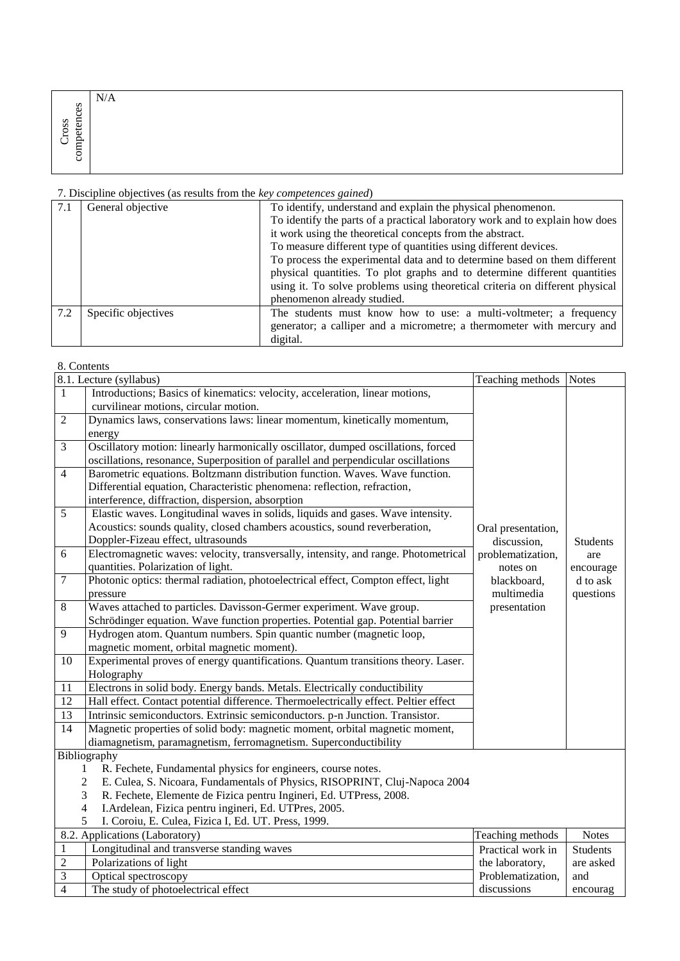|                     | N/A |  |
|---------------------|-----|--|
| $\mathbf{e}$ s<br>≒ |     |  |
| SS<br>┍             |     |  |
| ∼                   |     |  |
| ◡<br>Ö              |     |  |

| 7.1 | General objective   | To identify, understand and explain the physical phenomenon.                 |
|-----|---------------------|------------------------------------------------------------------------------|
|     |                     | To identify the parts of a practical laboratory work and to explain how does |
|     |                     | it work using the theoretical concepts from the abstract.                    |
|     |                     | To measure different type of quantities using different devices.             |
|     |                     | To process the experimental data and to determine based on them different    |
|     |                     | physical quantities. To plot graphs and to determine different quantities    |
|     |                     | using it. To solve problems using theoretical criteria on different physical |
|     |                     | phenomenon already studied.                                                  |
| 7.2 | Specific objectives | The students must know how to use: a multi-voltmeter; a frequency            |
|     |                     | generator; a calliper and a micrometre; a thermometer with mercury and       |
|     |                     | digital.                                                                     |

#### 8. Contents

|                                                                                   | 8.1. Lecture (syllabus)                                                              | Teaching methods Notes |                 |  |  |  |
|-----------------------------------------------------------------------------------|--------------------------------------------------------------------------------------|------------------------|-----------------|--|--|--|
| $\mathbf{1}$                                                                      | Introductions; Basics of kinematics: velocity, acceleration, linear motions,         |                        |                 |  |  |  |
|                                                                                   | curvilinear motions, circular motion.                                                |                        |                 |  |  |  |
| $\overline{2}$                                                                    | Dynamics laws, conservations laws: linear momentum, kinetically momentum,            |                        |                 |  |  |  |
|                                                                                   | energy                                                                               |                        |                 |  |  |  |
| $\overline{3}$                                                                    | Oscillatory motion: linearly harmonically oscillator, dumped oscillations, forced    |                        |                 |  |  |  |
|                                                                                   | oscillations, resonance, Superposition of parallel and perpendicular oscillations    |                        |                 |  |  |  |
| $\overline{4}$                                                                    | Barometric equations. Boltzmann distribution function. Waves. Wave function.         |                        |                 |  |  |  |
|                                                                                   | Differential equation, Characteristic phenomena: reflection, refraction,             |                        |                 |  |  |  |
|                                                                                   | interference, diffraction, dispersion, absorption                                    |                        |                 |  |  |  |
| 5                                                                                 | Elastic waves. Longitudinal waves in solids, liquids and gases. Wave intensity.      |                        |                 |  |  |  |
|                                                                                   | Acoustics: sounds quality, closed chambers acoustics, sound reverberation,           | Oral presentation,     |                 |  |  |  |
|                                                                                   | Doppler-Fizeau effect, ultrasounds                                                   | discussion,            | <b>Students</b> |  |  |  |
| 6                                                                                 | Electromagnetic waves: velocity, transversally, intensity, and range. Photometrical  | problematization,      | are             |  |  |  |
|                                                                                   | quantities. Polarization of light.                                                   | notes on               | encourage       |  |  |  |
| $\overline{7}$                                                                    | Photonic optics: thermal radiation, photoelectrical effect, Compton effect, light    | blackboard,            | d to ask        |  |  |  |
|                                                                                   | pressure                                                                             | multimedia             | questions       |  |  |  |
| $\overline{8}$                                                                    | Waves attached to particles. Davisson-Germer experiment. Wave group.<br>presentation |                        |                 |  |  |  |
|                                                                                   | Schrödinger equation. Wave function properties. Potential gap. Potential barrier     |                        |                 |  |  |  |
| 9                                                                                 | Hydrogen atom. Quantum numbers. Spin quantic number (magnetic loop,                  |                        |                 |  |  |  |
|                                                                                   | magnetic moment, orbital magnetic moment).                                           |                        |                 |  |  |  |
| 10                                                                                | Experimental proves of energy quantifications. Quantum transitions theory. Laser.    |                        |                 |  |  |  |
|                                                                                   | Holography                                                                           |                        |                 |  |  |  |
| 11                                                                                | Electrons in solid body. Energy bands. Metals. Electrically conductibility           |                        |                 |  |  |  |
| $\overline{12}$                                                                   | Hall effect. Contact potential difference. Thermoelectrically effect. Peltier effect |                        |                 |  |  |  |
| $\overline{13}$                                                                   | Intrinsic semiconductors. Extrinsic semiconductors. p-n Junction. Transistor.        |                        |                 |  |  |  |
| 14                                                                                | Magnetic properties of solid body: magnetic moment, orbital magnetic moment,         |                        |                 |  |  |  |
|                                                                                   | diamagnetism, paramagnetism, ferromagnetism. Superconductibility                     |                        |                 |  |  |  |
|                                                                                   | Bibliography                                                                         |                        |                 |  |  |  |
|                                                                                   | R. Fechete, Fundamental physics for engineers, course notes.<br>1                    |                        |                 |  |  |  |
|                                                                                   | E. Culea, S. Nicoara, Fundamentals of Physics, RISOPRINT, Cluj-Napoca 2004<br>2      |                        |                 |  |  |  |
|                                                                                   | 3<br>R. Fechete, Elemente de Fizica pentru Ingineri, Ed. UTPress, 2008.              |                        |                 |  |  |  |
| $\overline{\mathcal{L}}$<br>I.Ardelean, Fizica pentru ingineri, Ed. UTPres, 2005. |                                                                                      |                        |                 |  |  |  |
|                                                                                   | 5<br>I. Coroiu, E. Culea, Fizica I, Ed. UT. Press, 1999.                             |                        |                 |  |  |  |
|                                                                                   | 8.2. Applications (Laboratory)                                                       | Teaching methods       | <b>Notes</b>    |  |  |  |
| $\mathbf{1}$                                                                      | Longitudinal and transverse standing waves                                           | Practical work in      | <b>Students</b> |  |  |  |
| $\overline{2}$                                                                    | Polarizations of light                                                               | the laboratory,        | are asked       |  |  |  |
| $\overline{3}$                                                                    | Optical spectroscopy                                                                 | Problematization,      | and             |  |  |  |
| $\overline{4}$                                                                    | The study of photoelectrical effect                                                  | discussions            | encourag        |  |  |  |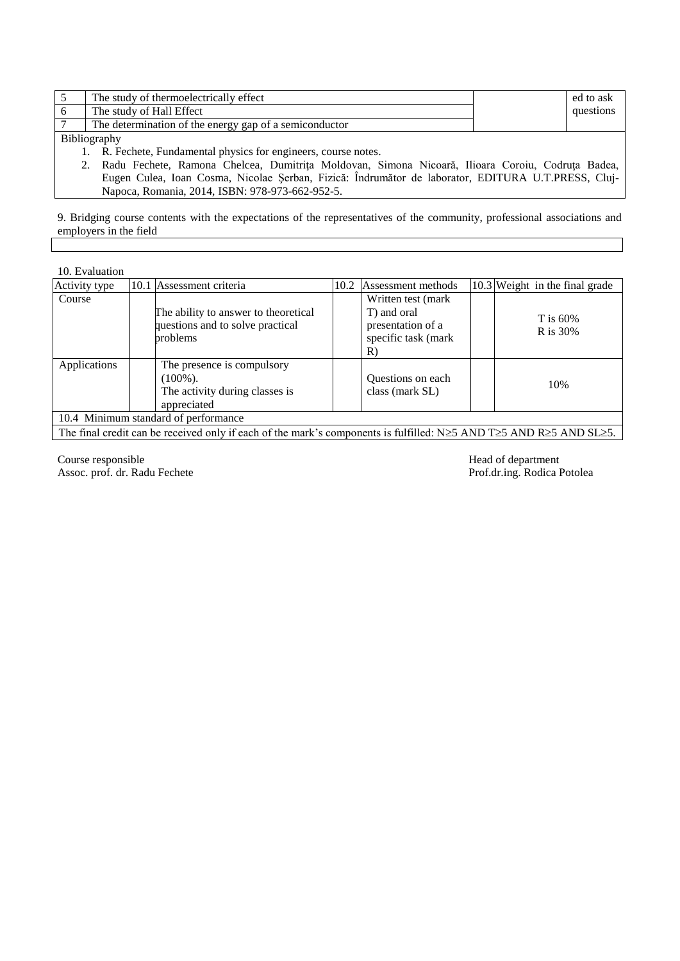|                    | The study of thermoelectrically effect                 |  | ed to ask |  |  |  |
|--------------------|--------------------------------------------------------|--|-----------|--|--|--|
|                    | The study of Hall Effect                               |  | questions |  |  |  |
|                    | The determination of the energy gap of a semiconductor |  |           |  |  |  |
| $\sim \cdot \cdot$ |                                                        |  |           |  |  |  |

Bibliography

1. R. Fechete, Fundamental physics for engineers, course notes.<br>2. Radu Fechete, Ramona Chelcea, Dumitrita Moldovan, S 2. Radu Fechete, Ramona Chelcea, Dumitriţa Moldovan, Simona Nicoară, Ilioara Coroiu, Codruţa Badea, Eugen Culea, Ioan Cosma, Nicolae Şerban, Fizică: Îndrumător de laborator, EDITURA U.T.PRESS, Cluj-Napoca, Romania, 2014, ISBN: 978-973-662-952-5.

9. Bridging course contents with the expectations of the representatives of the community, professional associations and employers in the field

10. Evaluation

| Activity type                                                                                                                                                                                                                                                                                                                                                                                                        |  | 10.1 Assessment criteria                                                                   | 10.2 | Assessment methods                                                                  |  | 10.3 Weight in the final grade |
|----------------------------------------------------------------------------------------------------------------------------------------------------------------------------------------------------------------------------------------------------------------------------------------------------------------------------------------------------------------------------------------------------------------------|--|--------------------------------------------------------------------------------------------|------|-------------------------------------------------------------------------------------|--|--------------------------------|
| Course                                                                                                                                                                                                                                                                                                                                                                                                               |  | The ability to answer to theoretical<br>questions and to solve practical<br>problems       |      | Written test (mark<br>T) and oral<br>presentation of a<br>specific task (mark<br>R) |  | T is $60\%$<br>R is 30%        |
| Applications                                                                                                                                                                                                                                                                                                                                                                                                         |  | The presence is compulsory<br>$(100\%)$ .<br>The activity during classes is<br>appreciated |      | Questions on each<br>class (mark SL)                                                |  | 10%                            |
| 10.4 Minimum standard of performance                                                                                                                                                                                                                                                                                                                                                                                 |  |                                                                                            |      |                                                                                     |  |                                |
| $\mathbf{r}$ and $\mathbf{r}$ are the contract of the contract of the contract of the contract of the contract of the contract of the contract of the contract of the contract of the contract of the contract of the contract of the<br>$\mathcal{C}$ $\mathcal{A}$<br>$\mathbf{1}$<br>$\sim$ $\sim$ 0.1011 1.31, $\approx$ 1.315, $\rm{m}$ , $\approx$ 1.315, $\rm{m}$ , $\approx$ 1.315, $\rm{m}$ , $\sim$ $\sim$ |  |                                                                                            |      |                                                                                     |  |                                |

The final credit can be received only if each of the mark's components is fulfilled: N $\geq$ 5 AND T $\geq$ 5 AND SL $\geq$ 5.

Course responsible<br>
Assoc. prof. dr. Radu Fechete<br>
Prof.dr.ing. Rodica Potolea Assoc. prof. dr. Radu Fechete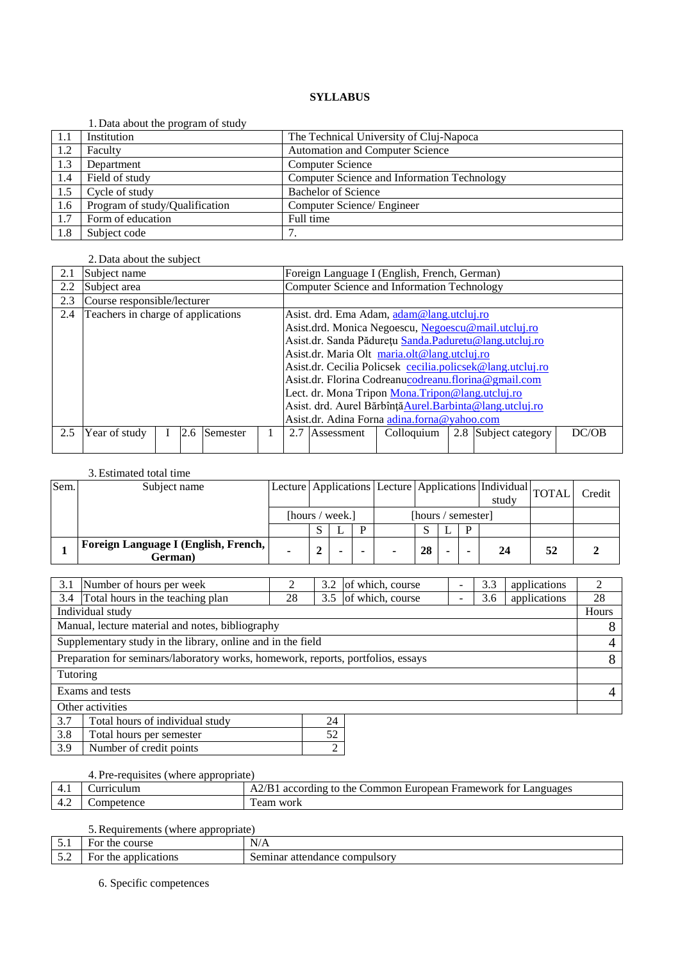|     | 1. Data about the program of study |                                             |
|-----|------------------------------------|---------------------------------------------|
| 1.1 | Institution                        | The Technical University of Cluj-Napoca     |
| 1.2 | Faculty                            | <b>Automation and Computer Science</b>      |
| 1.3 | Department                         | <b>Computer Science</b>                     |
| 1.4 | Field of study                     | Computer Science and Information Technology |
| 1.5 | Cycle of study                     | <b>Bachelor of Science</b>                  |
| 1.6 | Program of study/Qualification     | Computer Science/ Engineer                  |
| 1.7 | Form of education                  | Full time                                   |
| 1.8 | Subject code                       |                                             |

# 2. Data about the subject

| 2.1 | Subject name                       |  |     |          | Foreign Language I (English, French, German) |                                                            |                                                      |                                                     |                                                           |                                                         |       |
|-----|------------------------------------|--|-----|----------|----------------------------------------------|------------------------------------------------------------|------------------------------------------------------|-----------------------------------------------------|-----------------------------------------------------------|---------------------------------------------------------|-------|
| 2.2 | Subject area                       |  |     |          |                                              |                                                            | Computer Science and Information Technology          |                                                     |                                                           |                                                         |       |
| 2.3 | Course responsible/lecturer        |  |     |          |                                              |                                                            |                                                      |                                                     |                                                           |                                                         |       |
| 2.4 | Teachers in charge of applications |  |     |          |                                              |                                                            |                                                      | Asist. drd. Ema Adam, adam@lang.utcluj.ro           |                                                           |                                                         |       |
|     |                                    |  |     |          |                                              |                                                            |                                                      | Asist.drd. Monica Negoescu, Negoescu@mail.utcluj.ro |                                                           |                                                         |       |
|     |                                    |  |     |          |                                              |                                                            |                                                      |                                                     |                                                           | Asist.dr. Sanda Pădurețu Sanda. Paduretu@lang.utcluj.ro |       |
|     |                                    |  |     |          |                                              | Asist.dr. Maria Olt maria.olt@lang.utcluj.ro               |                                                      |                                                     |                                                           |                                                         |       |
|     |                                    |  |     |          |                                              | Asist.dr. Cecilia Policsek cecilia.policsek@lang.utcluj.ro |                                                      |                                                     |                                                           |                                                         |       |
|     |                                    |  |     |          |                                              |                                                            | Asist.dr. Florina Codreanucodreanu.florina@gmail.com |                                                     |                                                           |                                                         |       |
|     |                                    |  |     |          |                                              | Lect. dr. Mona Tripon Mona. Tripon@lang.utcluj.ro          |                                                      |                                                     |                                                           |                                                         |       |
|     |                                    |  |     |          |                                              |                                                            |                                                      |                                                     | Asist. drd. Aurel Bărbînță Aurel. Barbinta@lang.utcluj.ro |                                                         |       |
|     |                                    |  |     |          | Asist.dr. Adina Forna adina.forna@yahoo.com  |                                                            |                                                      |                                                     |                                                           |                                                         |       |
| 2.5 | Year of study                      |  | 2.6 | Semester |                                              | 2.7                                                        | Assessment                                           | Colloquium                                          |                                                           | 2.8 Subject category                                    | DC/OB |
|     |                                    |  |     |          |                                              |                                                            |                                                      |                                                     |                                                           |                                                         |       |

#### 3.Estimated total time

| Sem. | Subject name                                      |                 |  |   |                    |  | $\sqrt{\text{Lecture}$ Applications  Lecture   Applications   Individual $\sqrt{\text{TOTAL}}$  <br>study |    | Credit |
|------|---------------------------------------------------|-----------------|--|---|--------------------|--|-----------------------------------------------------------------------------------------------------------|----|--------|
|      |                                                   | [hours / week.] |  |   | [hours / semester] |  |                                                                                                           |    |        |
|      |                                                   |                 |  | ח |                    |  |                                                                                                           |    |        |
|      | Foreign Language I (English, French,  <br>German) |                 |  |   | 28                 |  | 24                                                                                                        | 52 |        |

| 3.1                                                                              | Number of hours per week         | 2  | 3.2 | of which, course     |  | 3.3 | applications |    |
|----------------------------------------------------------------------------------|----------------------------------|----|-----|----------------------|--|-----|--------------|----|
| 3.4                                                                              | Total hours in the teaching plan | 28 |     | 3.5 of which, course |  | 3.6 | applications | 28 |
| Individual study<br>Hours                                                        |                                  |    |     |                      |  |     |              |    |
| Manual, lecture material and notes, bibliography                                 |                                  |    |     |                      |  |     |              |    |
| Supplementary study in the library, online and in the field                      |                                  |    |     |                      |  |     |              | 4  |
| Preparation for seminars/laboratory works, homework, reports, portfolios, essays |                                  |    |     |                      |  |     |              | 8  |
| Tutoring                                                                         |                                  |    |     |                      |  |     |              |    |
| Exams and tests                                                                  |                                  |    |     |                      |  |     | 4            |    |
| Other activities                                                                 |                                  |    |     |                      |  |     |              |    |
| 3.7                                                                              | Total hours of individual study  |    | 24  |                      |  |     |              |    |
| $\sim$ $\sim$<br>$\sim$<br>$-11$                                                 |                                  |    |     |                      |  |     |              |    |

|                  | Total hours per semester |  |  |  |
|------------------|--------------------------|--|--|--|
| $\overline{3.9}$ | Number of credit points  |  |  |  |

# 4. Pre-requisites (where appropriate)

| $+ \cdot$ | riculum  | Framework<br>Languages<br>, the l<br>∴ommon European ∶<br>according to<br>tor<br>7 D |
|-----------|----------|--------------------------------------------------------------------------------------|
| 4.∠       | nnetence | work<br>eam                                                                          |

# 5.Requirements (where appropriate)

| - -<br>◡ ・                                                                     | course<br>the<br>For            | $\mathbf{v}$<br>N<br>$\mathbf{Y}/\mathbf{Z}$                          |
|--------------------------------------------------------------------------------|---------------------------------|-----------------------------------------------------------------------|
| $\overline{\phantom{a}}$<br>$\sim$ . $\sim$<br>the contract of the contract of | applic<br>cations<br>the<br>∺∩r | compulsory<br>ınar<br>$-2r$<br>$\sim$<br>$\sim$<br>$^{\circ}$<br>ance |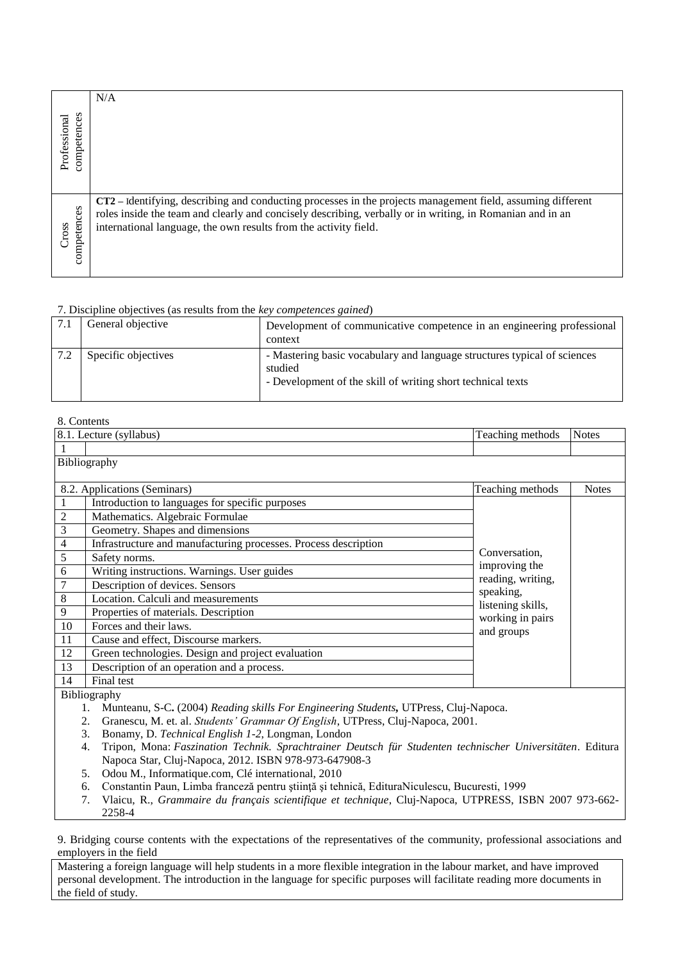|                             | N/A                                                                                                                                                                                                                                                                                          |
|-----------------------------|----------------------------------------------------------------------------------------------------------------------------------------------------------------------------------------------------------------------------------------------------------------------------------------------|
| competences<br>Professional |                                                                                                                                                                                                                                                                                              |
| competences<br>Cross        | CT2 - Identifying, describing and conducting processes in the projects management field, assuming different<br>roles inside the team and clearly and concisely describing, verbally or in writing, in Romanian and in an<br>international language, the own results from the activity field. |

| 7.1 | General objective   | Development of communicative competence in an engineering professional<br>context                                                                  |
|-----|---------------------|----------------------------------------------------------------------------------------------------------------------------------------------------|
|     | Specific objectives | - Mastering basic vocabulary and language structures typical of sciences<br>studied<br>- Development of the skill of writing short technical texts |

#### 8. Contents

|    | 8.1. Lecture (syllabus)                                         | Teaching methods                                    | <b>Notes</b> |
|----|-----------------------------------------------------------------|-----------------------------------------------------|--------------|
|    |                                                                 |                                                     |              |
|    | Bibliography                                                    |                                                     |              |
|    |                                                                 |                                                     |              |
|    | 8.2. Applications (Seminars)                                    | Teaching methods                                    | <b>Notes</b> |
|    | Introduction to languages for specific purposes                 |                                                     |              |
| 2  | Mathematics. Algebraic Formulae                                 |                                                     |              |
| 3  | Geometry. Shapes and dimensions                                 |                                                     |              |
| 4  | Infrastructure and manufacturing processes. Process description |                                                     |              |
| 5  | Safety norms.                                                   | Conversation.                                       |              |
| 6  | Writing instructions. Warnings. User guides                     | improving the                                       |              |
|    | Description of devices. Sensors                                 | reading, writing,<br>speaking,<br>listening skills, |              |
| 8  | Location. Calculi and measurements                              |                                                     |              |
| 9  | Properties of materials. Description                            | working in pairs                                    |              |
| 10 | Forces and their laws.                                          | and groups                                          |              |
| 11 | Cause and effect, Discourse markers.                            |                                                     |              |
| 12 | Green technologies. Design and project evaluation               |                                                     |              |
| 13 | Description of an operation and a process.                      |                                                     |              |
| 14 | Final test                                                      |                                                     |              |

Bibliography

- 1. Munteanu, S-C**.** (2004) *Reading skills For Engineering Students,* UTPress, Cluj-Napoca.
- 2. Granescu, M. et. al. *Students' Grammar Of English*, UTPress, Cluj-Napoca, 2001.
- 3. Bonamy, D. *Technical English 1-2*, Longman, London
- 4. Tripon, Mona: *Faszination Technik. Sprachtrainer Deutsch für Studenten technischer Universitäten*. Editura Napoca Star, Cluj-Napoca, 2012. ISBN 978-973-647908-3
- 5. Odou M., Informatique.com, Clé international, 2010
- 6. Constantin Paun, Limba franceză pentru ştiinţă şi tehnică, EdituraNiculescu, Bucuresti, 1999
- 7. Vlaicu, R., *Grammaire du français scientifique et technique*, Cluj-Napoca, UTPRESS, ISBN 2007 973-662- 2258-4

9. Bridging course contents with the expectations of the representatives of the community, professional associations and employers in the field

Mastering a foreign language will help students in a more flexible integration in the labour market, and have improved personal development. The introduction in the language for specific purposes will facilitate reading more documents in the field of study.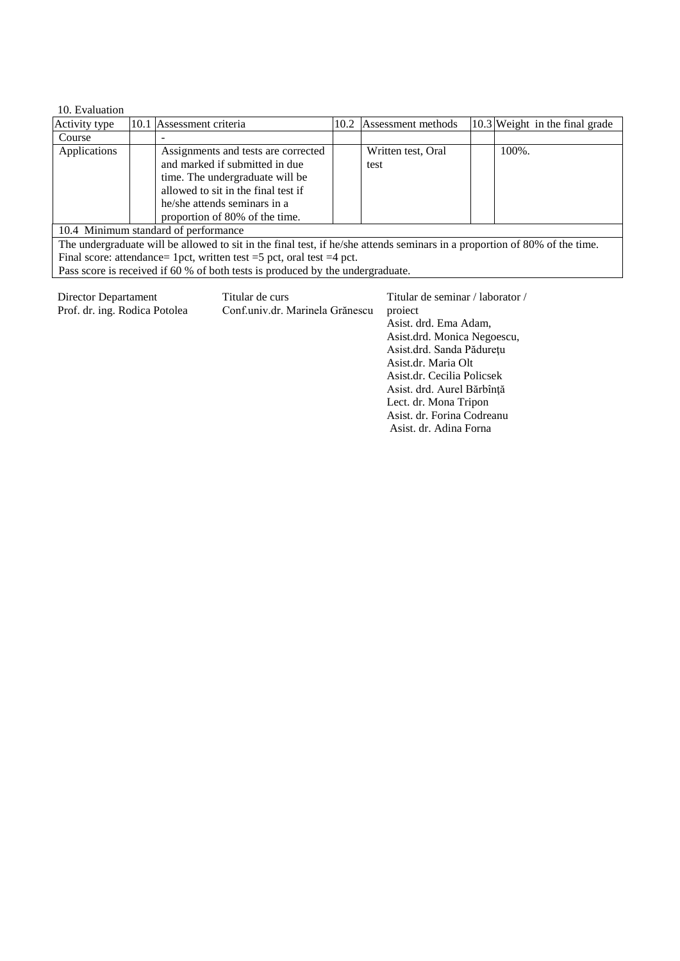| 10. Evaluation                                                                                                             |  |                                     |      |                    |  |                                |
|----------------------------------------------------------------------------------------------------------------------------|--|-------------------------------------|------|--------------------|--|--------------------------------|
| Activity type                                                                                                              |  | 10.1 Assessment criteria            | 10.2 | Assessment methods |  | 10.3 Weight in the final grade |
| Course                                                                                                                     |  |                                     |      |                    |  |                                |
| Applications                                                                                                               |  | Assignments and tests are corrected |      | Written test, Oral |  | 100%.                          |
|                                                                                                                            |  | and marked if submitted in due      |      | test               |  |                                |
|                                                                                                                            |  | time. The undergraduate will be     |      |                    |  |                                |
|                                                                                                                            |  | allowed to sit in the final test if |      |                    |  |                                |
|                                                                                                                            |  | he/she attends seminars in a        |      |                    |  |                                |
|                                                                                                                            |  | proportion of 80% of the time.      |      |                    |  |                                |
| 10.4 Minimum standard of performance                                                                                       |  |                                     |      |                    |  |                                |
| The undergraduate will be allowed to sit in the final test, if he/she attends seminars in a proportion of 80% of the time. |  |                                     |      |                    |  |                                |
| Final score: attendance= 1pct, written test = $5$ pct, oral test = $4$ pct.                                                |  |                                     |      |                    |  |                                |
| Pass score is received if 60 % of both tests is produced by the undergraduate.                                             |  |                                     |      |                    |  |                                |

| Director Departament<br>Prof. dr. ing. Rodica Potolea | Titular de curs<br>Conf.univ.dr. Marinela Grănescu | Titular de seminar / laborator /<br>project<br>Asist. drd. Ema Adam,<br>Asist.drd. Monica Negoescu,<br>Asist.drd. Sanda Pădurețu<br>Asist.dr. Maria Olt<br>Asist.dr. Cecilia Policsek<br>Asist. drd. Aurel Bărbînță<br>Lect. dr. Mona Tripon<br>Asist. dr. Forina Codreanu<br>Asist. dr. Adina Forna |
|-------------------------------------------------------|----------------------------------------------------|------------------------------------------------------------------------------------------------------------------------------------------------------------------------------------------------------------------------------------------------------------------------------------------------------|
|                                                       |                                                    |                                                                                                                                                                                                                                                                                                      |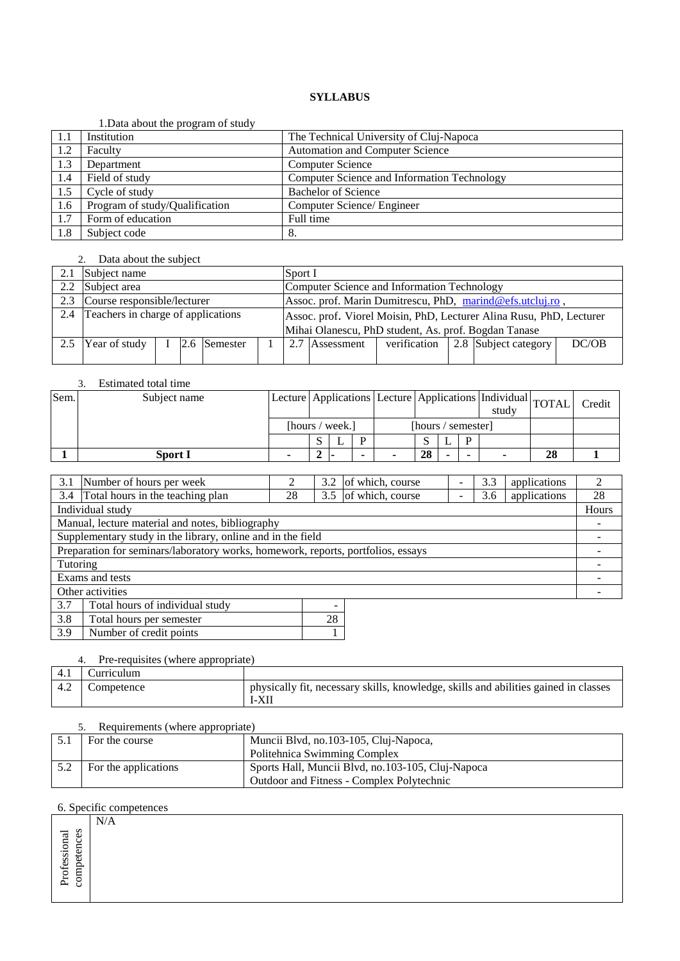#### 1.Data about the program of study

|     | 1. Data about the program of study |                                             |
|-----|------------------------------------|---------------------------------------------|
| 1.1 | Institution                        | The Technical University of Cluj-Napoca     |
| 1.2 | Faculty                            | <b>Automation and Computer Science</b>      |
| 1.3 | Department                         | <b>Computer Science</b>                     |
| 1.4 | Field of study                     | Computer Science and Information Technology |
| 1.5 | Cycle of study                     | <b>Bachelor of Science</b>                  |
| 1.6 | Program of study/Qualification     | Computer Science/ Engineer                  |
| 1.7 | Form of education                  | Full time                                   |
| 1.8 | Subject code                       | 8.                                          |

#### 2. Data about the subject

|     | Subject name                       |  |  |              | Sport I                                                             |                                                      |                                                           |              |  |                      |       |  |
|-----|------------------------------------|--|--|--------------|---------------------------------------------------------------------|------------------------------------------------------|-----------------------------------------------------------|--------------|--|----------------------|-------|--|
|     | 2.2 Subject area                   |  |  |              | Computer Science and Information Technology                         |                                                      |                                                           |              |  |                      |       |  |
| 2.3 | Course responsible/lecturer        |  |  |              |                                                                     |                                                      | Assoc. prof. Marin Dumitrescu, PhD, marind@efs.utcluj.ro, |              |  |                      |       |  |
| 2.4 | Teachers in charge of applications |  |  |              | Assoc. prof. Viorel Moisin, PhD, Lecturer Alina Rusu, PhD, Lecturer |                                                      |                                                           |              |  |                      |       |  |
|     |                                    |  |  |              |                                                                     | Mihai Olanescu, PhD student, As. prof. Bogdan Tanase |                                                           |              |  |                      |       |  |
| 2.5 | Year of study                      |  |  | 2.6 Semester |                                                                     |                                                      | 2.7 Assessment                                            | verification |  | 2.8 Subject category | DC/OB |  |
|     |                                    |  |  |              |                                                                     |                                                      |                                                           |              |  |                      |       |  |

### 3. Estimated total time

| Sem. | Subject name   |                 |  |                    |  |    |  |  | Lecture Applications Lecture Applications Individual TOTAL<br>study |    | Credit |
|------|----------------|-----------------|--|--------------------|--|----|--|--|---------------------------------------------------------------------|----|--------|
|      |                | [hours / week.] |  | [hours / semester] |  |    |  |  |                                                                     |    |        |
|      |                |                 |  |                    |  |    |  |  |                                                                     |    |        |
|      | <b>Sport I</b> |                 |  |                    |  | 28 |  |  |                                                                     | 28 |        |

|                                                                                  | 3.1 Number of hours per week                                |    | 3.2 | of which, course |  | 3.3 | applications | $\mathcal{L}$ |
|----------------------------------------------------------------------------------|-------------------------------------------------------------|----|-----|------------------|--|-----|--------------|---------------|
|                                                                                  | 3.4 Total hours in the teaching plan                        | 28 | 3.5 | of which, course |  | 3.6 | applications | 28            |
|                                                                                  | Individual study                                            |    |     |                  |  |     |              | Hours         |
|                                                                                  | Manual, lecture material and notes, bibliography            |    |     |                  |  |     |              |               |
|                                                                                  | Supplementary study in the library, online and in the field |    |     |                  |  |     |              |               |
| Preparation for seminars/laboratory works, homework, reports, portfolios, essays |                                                             |    |     |                  |  |     |              |               |
| Tutoring                                                                         |                                                             |    |     |                  |  |     |              |               |
| Exams and tests                                                                  |                                                             |    |     |                  |  |     |              |               |
| Other activities                                                                 |                                                             |    |     |                  |  |     |              |               |
| 3.7                                                                              | Total hours of individual study                             |    |     |                  |  |     |              |               |
| 3.8                                                                              | Total hours per semester                                    |    | 28  |                  |  |     |              |               |

# 4. Pre-requisites (where appropriate)

3.9 Number of credit points 1

| 4.1 | Curriculum |                                                                                              |
|-----|------------|----------------------------------------------------------------------------------------------|
| 4.2 | Competence | physically fit, necessary skills, knowledge, skills and abilities gained in classes<br>1-AII |

#### 5. Requirements (where appropriate)

| $\sigma$ . Requirements (where appropriate) |                                                   |  |  |  |  |  |
|---------------------------------------------|---------------------------------------------------|--|--|--|--|--|
| For the course                              | Muncii Blvd, no.103-105, Cluj-Napoca,             |  |  |  |  |  |
|                                             | Politehnica Swimming Complex                      |  |  |  |  |  |
| For the applications                        | Sports Hall, Muncii Blvd, no.103-105, Cluj-Napoca |  |  |  |  |  |
|                                             | Outdoor and Fitness - Complex Polytechnic         |  |  |  |  |  |

|                                  | $\mathbf{v}$<br>N/A |  |
|----------------------------------|---------------------|--|
| $\sigma$<br>ಸ<br>u<br>$\Xi$<br>◡ |                     |  |
| ₿<br>◡<br>u<br>⊢                 |                     |  |
| ofessi<br>◡<br>◠                 |                     |  |
| Ĕ<br>ب<br>∼                      |                     |  |
| ୪<br>$\mathbf{r}$                |                     |  |
|                                  |                     |  |